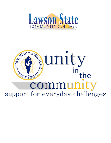

# unity LAWSON in<sub>the</sub> 1949  $\frac{1049}{100}$  community and community and community and community  $\frac{1}{2}$ support for everyday challenges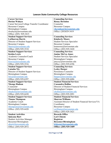## **Lawson State Community College Resources**

| <b>Career Services</b>                       | <b>Counseling Services</b>                                 |
|----------------------------------------------|------------------------------------------------------------|
| <b>Dorian Waluyn</b>                         | <b>Renay Herndon</b>                                       |
| Career Services/College Transfer Coordinator | Counselor                                                  |
| <b>Bessemer Campus</b>                       | <b>Bessemer Campus</b>                                     |
| <b>Birmingham Campus</b>                     | rherndon@lawsonstate.edu                                   |
| dwaluyn@lawsonstate.edu                      | Office: (205)929-3419                                      |
| Office: (205) 929-3415                       |                                                            |
| <b>Student Support Services</b>              | <b>Counseling Services</b>                                 |
| <b>LaSharron Harris</b>                      | <b>Kimberly Moore</b>                                      |
| Director of Student Support Services         | <b>Student Services Specialist</b>                         |
| <b>Bessemer Campus</b>                       | <b>Bessemer Campus</b>                                     |
| lharris@lawsonstate.edu                      | kmmoore@lawsonstate.edu                                    |
| Office: (205) 929-3518                       | Office: (205) 929-3420                                     |
| <b>Student Support Services</b>              | <b>Counseling Services</b>                                 |
| <b>Keisha Lewis</b>                          | <b>Janine McCoy Jones</b>                                  |
| Academic Counselor/Coach                     | <b>Student Services Specialist</b>                         |
| <b>Bessemer Campus</b>                       | <b>Birmingham Campus</b>                                   |
| klewis@lawsonstate.edu                       | jmccoy@lawsonstate.edu                                     |
| Office: (205) 929-3516                       | Office: (205) 929-6396                                     |
| <b>Student Support Services</b>              | <b>Counseling Services</b>                                 |
| Latasha Nix                                  | <b>Lesley Harper</b>                                       |
| Director of Student Support Services         | Persistence Counselor                                      |
| <b>Birmingham Campus</b>                     | <b>Birmingham Campus</b>                                   |
| $lnix(a)$ lawsonstate.edu                    | lharper@lawsonstate.edu                                    |
| Office: (205) 929-6397                       | Office: (205) 929-6486                                     |
| <b>Student Support Services</b>              | <b>Student Financial Services</b>                          |
| <b>Nkenge Hudson</b>                         | <b>Cassandra Hollins</b>                                   |
| Counselor                                    | Director of Student Financial Services                     |
| <b>Birmingham Campus</b>                     | <b>Birmingham Campus</b>                                   |
| nhudson@lawsonstate.edu                      | chollins@lawsonstate.edu                                   |
| Office: (205) 929-6430                       | Office: (205) 929-2091                                     |
| <b>Student Support Services</b>              | <b>Student Financial Services</b>                          |
| <b>Tianna Thompson</b>                       | <b>Sharron Williams</b>                                    |
| Academic Coach                               | <b>Assistant Director of Student Financial Services/VA</b> |
| Birmingham Campus                            | Coordinator                                                |
| tthompson@lawsonstate.edu                    | <b>Bessemer Campus</b>                                     |
| Office: (205) 929-6420                       | swilliams@lawsonstate.edu                                  |
|                                              | Office: (205) 929-3421                                     |
| <b>Student Activities</b>                    | <b>Records Office</b>                                      |
| Quiyana Burt                                 | <b>Lori Chisem</b>                                         |
| <b>Student Activities Manager</b>            | Registrar                                                  |
| Bessemer/Birmingham                          | <b>Bessemer/Birmingham</b>                                 |
| qburt@lawsonstate.edu                        | lchisem@lawsonstate.edu                                    |
| Office: (205) 929-2072                       | Office: (205) 929-3409                                     |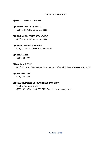#### **EMERGENCY NUMBERS**

#### **1) FOR EMERGENCIES CALL 911**

#### **2) BIRMINGHAM FIRE & RESCUE**

(205) 254‐2053 (Emergencies 911)

### **3) BIRMINGHAM POLICE DEPARTMENT**

(205) 328‐9311 (Emergencies 911)

#### **4) CAP (City Action Partnership)**

(205) 251‐0111 1704 Fifth Avenue North

#### **5) CRISIS CENTER**

(205) 323‐7777

#### **6) FAMILY VIOLENCE**

(205) 322‐HURT (4878) www.ywcabham.org Safe shelter, legal advocacy, counseling.

### **7) RAPE RESPONSE**

(205) 323‐7273

## **8) STREET HOMELESS OUTREACH PROGRAM (STOP)**

The Old Firehouse Shelter (205) 252‐9571 or (205) 251‐0111 Outreach case management.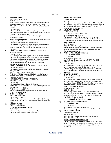#### **SHELTERS**

| 1)  | <b>BETHANY HOME</b><br>1615 Cullom Street South                    | 11   | <b>JIMMIE HALE MISSION</b><br>3420 2nd Ave. North                                                   |
|-----|--------------------------------------------------------------------|------|-----------------------------------------------------------------------------------------------------|
|     | (205) 930-0144                                                     |      | (205) 324-2271                                                                                      |
|     | Adult Women. Intake 9:00 AM -5:00 PM. Phone referral okay.         |      | https:lljimmiehalemission.com/ Men Only, (10 required for                                           |
| 2)  | <b>BRIDGE MINISTRIES Homeless Families with Children</b>           |      | 2nd-timers). 7 day limit (3 month lifetime) waived if request                                       |
|     | 101619th Street South (10th Court side of Southside Baptist        |      | enrollment into Program. Intake 3:00 PM -7:00 PM.                                                   |
|     | Church)                                                            |      | Require service attendance.                                                                         |
|     | (205) 930-0309                                                     | 12)  | <b>LOVELADY CENTER</b>                                                                              |
|     | http://www.bridgeministriesbham.org/ Temporary lodging for         |      | 7916 2°' Ave. South                                                                                 |
|     | families with children when all other shelters are full. (Referral |      |                                                                                                     |
|     | from family shelter required.)                                     |      | (205) 833-7410 & (205) 836-3121                                                                     |
|     | Financial assistance from shelter to housing. (By                  |      | httpJIwww.loveladycenter.org/                                                                       |
|     | Appointment Only.)                                                 |      | Transitional living facility for women who have been                                                |
| 3)  | <b>CHILDREN'S AID SOCIETY Project Independence 181 West</b>        |      | incarcerated or suffered from substance abuse. Case                                                 |
|     | Valley Ave. Ste. 300                                               |      | Management services to assist with societal readjustment.                                           |
|     | (205) 251-7148 Emergency (205) 337-3910                            | 13)  | <b>MARY'S HOUSE</b>                                                                                 |
|     | http://www.childrensaid.org/ Young mothers ages 16-21 who          |      | 2107 Avenue G.                                                                                      |
|     | are pregnant and/or parenting; Comprehensive program               |      | (205) 780-2020 Shelley Doug/as                                                                      |
|     | including parenting and living skills, job skills training and     |      | Email: shelleyd9@juno.com Primarily houses visitors to                                              |
|     | housing.                                                           |      | hospital or prison. Others for short term emergencies.                                              |
| 4)  | <b>FAMILY PROMISE OF BIRMINGHAM (Formerly B 'ham</b>               |      | Call for vacancy inquiry.                                                                           |
|     | Hospitality Network)                                               | (14) | THE OLD FIREHOUSE SHELTER                                                                           |
|     | (205) 918-0246                                                     |      | 1501 3rd Avenue North                                                                               |
|     | www.familypromisebham.org Assistance for families making           |      | (205) 252-9571                                                                                      |
|     | the transition from shelter to housing. Two parent families with   |      | www.firehouseshelter.com/                                                                           |
|     | minor children. Single mothers only if they have at least one      |      | Men Only (no ID required). Intake 7:00PM -7:30PM.                                                   |
|     | boy age 10 or above. Single fathers with minor children.           |      |                                                                                                     |
|     | Intake Interviews Monday - Friday from 7:30 AM until               | 15)  | PATHWAYS, INC.                                                                                      |
|     | 2:00 PM by appointment only.                                       |      | (205) 322-6854                                                                                      |
| 5)  | <b>FAMILY VIOLENCE CENTER Domestic Violence HOTLINE:</b>           |      | http://www.pathwayshome.org/ Women & Children (boys                                                 |
|     | (205) 322-HURT (4878)                                              |      | age 10 and under & male children full time high                                                     |
|     | http://www.ywcabham.org/ Confidential shelter for victims of       |      | school/college students); Monday-Friday 8:30 AM-5:00                                                |
|     | family violence.                                                   |      | PM; Call for details, qualifications and an assessment of                                           |
|     | FIRST LIGHT 2230 4th Avenue North                                  |      | eligibility.                                                                                        |
| 6)  | (205) 323-4277 http://www.firstlightshelter.org I Women &          | 16)  | <b>SALVATION ARMY</b>                                                                               |
|     | children (boys under 9). No 10 required. Residents are fed         |      | 2130 11th Avenue North                                                                              |
|     | breakfast and dinner.                                              |      | (205) 328-5656                                                                                      |
| 7)  | <b>HOUSING AUTHORITY OF BIRMINGHAM</b>                             |      | http://salvationarmyalm.org/birmingham/ Men, women &                                                |
|     | 18263" Ave., South                                                 |      | children. Picture ID required. Men Intake 4:00 PM -until                                            |
|     | $(205)$ 521-0623                                                   |      | full. Women Intake 8:00 AM - until full. (After hour's intake                                       |
|     | http://www.habdsite.org/ Section 8 Housing.                        |      | for emergencies) No ID required for first night.                                                    |
| 8)  | <b>HEAL THCARE FOR HOMELEESS VETERANS (HCHV) 900</b>               | 17)  | YWCA CENTRAL ALABAMA                                                                                |
|     | 19th St. South, Rm. 2900                                           |      | 59161st Avenue South                                                                                |
|     | (205) 933-8101 ext. 6871 PM                                        |      | (205) 591-4302                                                                                      |
|     | http://www.birmingham.va.gov/services/homeless/ Monday -           |      | http://www.ywcabham.org/ Two parent families with                                                   |
|     | Friday 8:00 AM -4:30 PM                                            |      | children, single women with at least one boy age 10+ and                                            |
| 9)  | THE HOPE HOUSE                                                     |      | single fathers with minor children. Monday -Friday 8:00                                             |
|     | 1323 7th Avenue North                                              |      | AM -5:00 PM. Call for details                                                                       |
|     | (205) 252-HOPE (4673)                                              |      |                                                                                                     |
|     | http://www.familyconnection-inc.org/ Teens (13-21). Monday -       |      | (Homeless Drop in Centers)                                                                          |
|     | Friday 10:00 AM -3:00 PM. Transportation provided to shelter       | 18)  | <b>CHURCH OF THE RECONCILER</b>                                                                     |
|     | facility.                                                          |      | 112 14th Street North                                                                               |
| 10) | <b>JESSIE'S PLACE</b>                                              |      | (205) 324-6402                                                                                      |
|     | 2305 5 <sup>th</sup> Avenue North                                  |      |                                                                                                     |
|     | https:lljimmiehalemission.com/                                     |      | http://www.churchofthereconciler.org/<br>Provides a day program for the homeless. Call for details. |
|     | (205) 323-0170                                                     |      |                                                                                                     |
|     | Women & children. Alabama 10 required. Apply in person.            | 19)  | <b>FAMILY CONNECTION</b>                                                                            |
|     | Intake Monday - Friday 9:00 AM -3:00 PM.                           |      | <b>Confidential Address</b>                                                                         |

#### 18) **CHURCH OF THE RECONCILER**

Alabaster, AL 35007 (205) 663-6301 Service/Intake and Administration (205) 663-6371 FAX http://www.familyconnection-inc.org Description: Provides a safe harbor for youth (12-17) who have run away or are homeless. Family Connections also operates a homeless youth hotline to provide further assistance.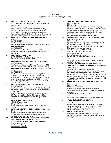#### **HOUSING (See SHELTERS for emergency housing)**

1) **AIDS ALABAMA** 3529 7th Avenue South (205) 324-9822. Confidential Help Line (205) 324-9308 (800) 592-2437 info@aidsalabama.org For HIV-positive persons: rental assistance & utility assistance for low income. Transitional housing for persons with substance abuse problems; permanent housing for mentally ill. Note: All of these services apply to persons with HIV positive and a low income status. 2) **ALABAMA BAPTIST CHILDREN'S HOME & FAMILY MINISTRIES**  (205) 945-0037 http://www.alabamachild.org/ Women with children: Homeless transitional apartments. 3) **ALETHEIA HOUSE**  (205) 324-6502 http://www.specialkindofcaring.org/ Affordable Housing assistance (Through drug/alcohol program, call for assessment). 4) **ALHOUSINGSEARCH.ORG**  (877) 428-8844 http://aIhousingsearch. org/ Free on line housing locator service. 5) **BIRMINGHAM HEALTH CARE** 712 25th Street North (205) 323-5311 http://bhamhealthcare.com/ Monday -Friday 8 AM -4:30 PM Housing Assistance. SRO-Single Room Occupancy. 6) **BIRMINGHAM HOUSING AUTHORITY** 1826 3rd Avenue South (205) 324-0641 http://www.habdsite.org/ Section 8 Housing-Check for availability. Can apply in any area. Voucher can go anywhere in US. Section 8 Birmingham (205) 521-0652. Other Housing Authorities Bessemer (205) 481-4420 - Fairfield (205) 923-8017 Jefferson Co. (205) 849-0123 ' Tarrant (205) 841 -2270 7) **BRIDGE MINISTRIES** 1016 19th Street South (205) 930-0309 http://www.bridgeministriesbham.org/ (10th Court side of Southside Baptist Church -use keypad to call someone to open door) Financial assistance for homeless prevention crises. (By Appointment Only -Call on Mondays at 8:30am) Currently only seeing new clients that they have never assisted. . 8) **BROTHER BRYAN MISSION**  1616 2nd Avenue North (205) 322-0092 http://bbmission.com/ S50lweek. Not an emergency shelter. 9) **CATHOLIC CENTER OF CONCERN** 712 4th Court West (205) 786-4388 http://www.bhmdiocese.org Financial assistance for utilities. Need 10 & utility bill or referral from agency. Applications Monday -Thursday. 10) **HOUSING AUTHORITY OF THE CITY OF BESSEMER** 1515 Fairfax Avenue Bessemer, AL 35021 (205) 481-4420 Service/Intake and Administration (205) 481-4430 FAX http://www.besha.org bcarrington@besha.org

#### 11) **CHANGED LIVES CHRISTIAN CENTER** 1608 26th Ave. N.

(205) 521-6421

http://www.cI-cc.org/ Two year transitional program; providing a mailing address, getting Social Security cards and/or drivers licenses if needed. Offering medical & dental care, teaching life skills and helping find jobs. Residents have savings accounts, learn personal financial management and pay monthly rent to live at CLCC.

- 12) **CHILDREN'S AID SOCIETY** Project Independence 181 West Valley Ave. Ste. 300 (205) 251-7148 http://www.childrensaid.org/ Young women ages 16-21 who are pregnant and/or parenting. Comprehensive program including parenting and living skills, job skills training and housing.
- 13) **COLLAT JEWISH FAMILY SERVICES**  (205) 879-3438 -call for information. http://www.cjfsbham.org/ Need referral from an agency.
- 14) **COMMUNITY FURNITURE BANK** 219 Distribution Dr. (205) 942-2727 http://www.communityfurniturebank.org/ Appointments
- only. Referrals only. 15) **THE DAN NON PROJECT: (PRISON RE-ENTRY SUPPORT SERVICES) A.C.E.R Project** 1600 20th Street South, Ste. B.

 (205) 202-4072 www.dannonproject.org Housing coordination to men and woman seeking to reenter society following a prison term. Call for an appointment. Must be 18 years of age or older by release date, non-violent offense, no conviction for sexual offense, sentenced in the Adult Criminal Justice System within 180 days of release

#### 16) **DISABILITY RIGHTS & RESOURCES** 1418 6th Ave. North

(205) 251-2223 'WWW.drradvQcates.org Living skills training for persons with disabilities. Alternative material, such as print to brail; Employment assistance.

- 17) **FIRST LIGHT** 2230 4th Avenue North (205) 323-4277 http://www.firstlightshelter.org/ Permanent housing for mentally ill (Screening & waiting list)
- 18) **FAMILY PROMISE OF BIRMINGHAM**  (205) 918-0246 www.familypromisebham.org Assistance for families making the transition from shelter to housing. Intake interviews Monday -Friday from 7:30 AM until 2:00 PM by appointment only
- 19) **HABITAT FOR HUMANITY**  (205) 780-1234 -Call for details and qualifications. http://WWW.habitatbirmingham.org/ Affordable housing building program.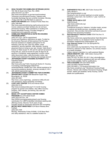20) **HEALTHCARE FOR HOMELESS VETERANS (HCHV)** 700 19th St South (2nd Floor, Rm. 2900) (205) 933-8101 ext. 6871

http://www.birmingham.va.gov/services/homeless/ Temporary and permanent housing. Veterans with honorable discharge that are currently homeless. Monday -Friday 8:00 AM -4:30 PM Walk-ins welcome.

21) **HOPE FOR HEROES** 2631 Ensley/5 Points West Ave. (205) 788-5046

http://www.specialkindofcaring.org/housing serves lowincome veterans and their families who do not have permanent housing. Offers assistance in locating and leasing affordable housing. Provides linkages to employment and supportive services.

#### 22) **HOMELESS PREVENTION & RAPID RE-HOUSING PROGRAM (HPRP)**

(205) 327-3727: Call for appointment Income and Residency restrictions do apply. Funded by the American Recovery & Reinvestment Act Provides financial assistance to eligible participants for the following: past due rent, past due utilities, rental assistance, security deposits, utility deposits, housing placement Items to bring to your apt. include: Valid driver's license or State issued 10, SS card for self and all persons living with you, proof of income for past 30 days for all persons in household, lease agreement, eviction notice, utility disconnect notice, utility termination notice, last month's bank statement for checking and savings account

#### 23) **JEFFERSON COUNTY HOUSING AUTHORITY** 3700 Industrial Parkway

(205) 849-0123

http://www.jcha.org/ Public Housing & Section 8. Housing Counseling Credit Mortgage Default Pre-

ownership/Rental, Shelter plus Care -Rental assistance for recovering substance abusers, severely mentally ill, HIV+, with referral appropriate agency.

24) **JEFFERSON COUNTY COMMITTEE FOR ECONOMIC OPPORTUNITY-JCCEO** 589 Bessemer Super Hwy, Birmingham, AL 35228 (205) 497-6591

http://www .jcceo.org/energy \_assistance Utility bill and rent assistance. Home ownership counseling.

#### 25) **LOVE LADY CENTER** 7916 2nd Avenue South (205) 833-7410 http://www.loveladycenteLorg/ 6-12 month housing program for women and children. Also offers recovery program, GED classes, job training, day care and counseling.

- 26) **MAGIC CITY ACCEPTANCE CENTER HOMES PROGRAM** 412 37th Street South (205) 322-4197 Ext. 104 http://WWW.birminghamaidsoutreach.org/ Housing coordination for LGBTQ identified individuals seeking safe, affirming homes. Must be 19-24 years of age.
- Includes access to community resources and counseling. 27) **METRO WEST MINISTRIES** 6124 Myron Massey Blvd. Fairfield (205) 923-1545

Monday, Wednesday Friday 9:00AM -12:00 Noon Rent and utility assistance. Also is a satellite location for

#### 28) **SHEPHERD'S FOLD, INC.** 826 Fulton Avenue SW (205) 780-6211

http://shepherdsfoldi nc.org/ Housing for men & women seeking to re-enter society following a prison term. Six months to 1 year. Call for an appointment.

#### 29) **THREE HOTS AND A COT**  30081St.South http://www.cotsforvets.org/

(205) 202-5124 Transitional housing for Veterans. Includes meals, access to medical and dental services, counseling, and job placement. Also provides intervention services to prevent veterans from becoming homeless.

- 30) **Saint Benedict's Veterans Center** 5704 First Ave. N. (205) 202-5755 http://www.cotsforvets.org/saintbenedicts/ Saint Benedict's Veterans Center is a six bedroom home located in the Woodlawn neighborhood of Birmingham, AL
- 31) **Clay Veterans Center** 2124 Old Springville Rd. (205) 520-2356 www.cotsfrovets.org Operated by Three Hot's and A Cot; formed by veterans to help veterans. Our primary mission is to assist homeless military veteran's transition to a self-sustained lifestyle
- 32) **URBAN MINISTRY, INC**. 1229 Cotton Avenue SW, Birmingham, AL 35211 (205) 781-0517 & (205) 781-2011 (fax) urbmin@urbanministry.org Emergency assistance with rent and utilities when funds available. Call for qualifications.
- 33) **YWCA HOUSING** 309 23rd Street North (205) 322-9922 General Number (205) 322-9922 x 178 Housing Information Line http://www.ywcabham.org/ Transitional Housing-Single Women, Women with Children Permanent Housing -Single women, elderly and disabled, family housing. Call for details and qualifications.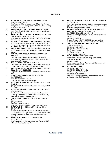#### **CLOTHING**

- 1) **ASSISTANCE LEAGUE OF BIRMINGHAM** 1755 Ox moor Rd *(205) 870-5555*  http://www.assistanceleaguebhm.orgl Operation School Bell-provides new clothing to school children. Live-tutoring to children and adults. 2) **BEGINNING BRIDGE OUTREACH MINISTRY** 300-8th Ave. West (Fairfield) *(205)* 966-2194 Call for appointment
- (Ms. Beavers) 3) **BODY OF CHRIST DELIVERANCE MINISTRY, INC**. 900 39th Street North *(205) 595-2762*  http://www.thebocdm.coml Clothing Pantry. Need referral
- letter from agency. 4) **CATHOLIC CENTER OF CONCERN** 712 4th Court West
	- *(205) 786-4388* http://www.bhmdiocese.org Clothing Thursdays 9:00 AM -2:30 PM. Come early; supply limited. Need 10 & utility bill or referral from agency.
- 5) **CHURCH OF THE RECONCILER** 112 14th Street North *(205) 324-6402* http://churchofthereconciIer.com Clothes Closet.
- 6 **THE FOUNDRY RESCUE MISSION & RECOVERY CENTER**

1804 6th Avenue North, Bessemer (205) 428-8449 http://www.foundryministries.coml Men & Women. Call for application information.

- 7) **GREATER BIRMINGHAM MINISTRIES** 2304 12th Avenue North *(205) 326-6821* https:llgbm.orgl Tuesdays and Thursdays, 9:00 AM -11 :00 AM
- 8) **HIGHLANDS UNITED METHODIST CHURCH** 1045 20th Street South *(205) 933-8751*  http://www.highlandsumc.neU Tuesdays 9:00 AM -10:00

AM.

- 9) **JIMMIE HALE MISSION** 3420 2nd Ave. North (205) 324-2271 https:lljimmiehalemission.com/
- 7:30 AM -9:30 AM. (Residents only) 10) **METRO WEST MINISTRIES** 6101 Martin Luther King Dr., Fairfield (205) 923-1545 Monday, Wednesday, and Friday 9:00AM -12 Noon
- 11) **MY SISTER'S CLOSET I YWCA** 2324 3rd Avenue North (205) 322-9922 http://www.ywcabham.orglmy-sisters-closet-volunteer

Tuesday & Thursday 11:00 AM -2:00 PM; Women Only. Need certificate from Service agency

- 12) **THE OLD FIREHOUSE SHELTER** 1501 3rd Avenue North (205) 252-9571
	- www.firehouseshelter.com

Monday & Wednesday 2:00 PM -3:30 PM. Men only. 13) **PATHWAYS, INC**. 409 Richard Arrington, Jr. Blvd.

- (205) 322-6854 http://www.pathwayshome.org/ Women Only: Tuesday - Thursday 9:30 AM-11:00 AM and 1:30 PM-3:00 PM. Need referral from agency. Emergency situations are also accepted.
- 14) **SALVATION ARMY** 2130 11th Avenue North (205) 328-5656 http://salvationarmyalm.orglbirminghaml Tuesdays 9:00 AM -4:00 PM. Need photo 10.
- 15) **SOUTHSIDE BAPTIST CHURCH** 101619th Street South (205) 933-8381 http://southsidebirmingham.org/ Clothing Closet Tuesdays @ 7:30 AM For residents in the 35205 zip code only. Need
- picture 10 and proof of residency. 16) **VETERANS ADMINISTRATION MEDICAL CENTER PHOENIX CLINIC 700 19th Street South** (205) 933-8101 ext. 6012 or ext. 6016 http://www.birmingham.va.gov/ (First floor inside the Blue Clinic) Homeless Veterans Monday-Fridays 8:00 AM-3:00 PM Help with clothing referrals. Supply is always contingent upon donations. 17) **23RD STREET BAPTIST CHURCH, SOUTH** 331 23rd Street South

Birmingham, AL 35233 (205) 251-1752 Service/Intake (205) 251-1729 FAX http://www.23rdsmbc.org ministry23rd@bellsouth.net

- 18) **COMMUNITY MINISTRY SERVICES** Description: Clothes closet providing assistance to community members. Call For Details Intake procedure: Call for Appointment. First come, first serve until food runs out
- 19) **MY CHILD'S CLOSET**  Birmingham, AL 35259 (205) 541-8436 Service/Intake http://www.mychildscloset.net/ referral@mychildscloset.net Description: My Child's Closet provides free clothing to children in need. Call for details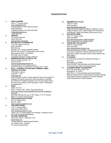#### **TRANSPORTATION**

| 1) | AIDS ALABAMA<br>35214 7 <sup>th</sup> Avenue South                                                 |
|----|----------------------------------------------------------------------------------------------------|
|    | www.aidsalabama.orf                                                                                |
|    | Transportation for HIV-positive persons.                                                           |
|    | (205) 324-9822                                                                                     |
|    | Confidential Help Line (205) 324-9308<br>info@aidsalabama.org                                      |
|    | 1-800-592-2437                                                                                     |
| 2) | AMTRAK                                                                                             |
|    | 1819 Morris Avenue                                                                                 |
|    | (205) 324-3033<br>www.amtrack.com/home                                                             |
| 3) | <b>BICI BICYCLE COOPERATIVE</b>                                                                    |
|    | 1211 28 <sup>th</sup> Street S. Ste G2                                                             |
|    | (205) 386-0659                                                                                     |
|    | Bicicoop.org                                                                                       |
|    | Monday and Thursday 6:00PM-8:00PM<br>Women only on the 3rd Wednesday of the month.                 |
|    | Bike repair for \$5/hr. and \$5/part.                                                              |
|    | Will trade work for repair.                                                                        |
|    | Charitable donations of bikes welcome.<br><b>BIRMINGHAM AIDS OUTREACH, INC.</b>                    |
| 4) | 205 32 <sup>nd</sup> Street South Ste. 101                                                         |
|    | (205) 322-4197                                                                                     |
|    | www.birminghamaidsoutreach.org                                                                     |
|    | Transportation for HIV-positive persons<br>Must have written documentation of positive HIV or AIDS |
| 5) | <b>BJTA - CENTRAL STATION BUS TERMINAL (MAX)</b>                                                   |
|    | <b>CENTRAL STATION</b>                                                                             |
|    | 1735 Morris Avenue                                                                                 |
|    | $(205)$ 521 - 0101<br>www.bjcta.org                                                                |
|    | (Fixed Routes) Transit on fixed routes for those who qualify for                                   |
|    | disabled Par-transit serviced by ADA standards is available.                                       |
|    | 521.9048 (VIP Disability Program). \$2 one-way limited pickup                                      |
|    | for those who qualify by ADA standards. Call for Clarification<br>and application.                 |
| 6) | DART                                                                                               |
|    | (205) 251-0101                                                                                     |
|    | North - South, East - West, City Center Route                                                      |
|    | www.bita.org/wp-content/upload/2012/new-dart-schedule-4-<br>2013.pdf                               |
|    | 25 cents; Marked pick-ups on 20 <sup>th</sup> street   2 <sup>nd</sup> & 5 <sup>th</sup> Avenue    |
|    | North   7 <sup>th</sup> and 8 <sup>th</sup> Avenue South.                                          |
| 7) | <b>GREYHOUND BUS STATION</b>                                                                       |
|    | 618 19th Street North<br>800-231-2222                                                              |
|    | http://Location.greyhound.com                                                                      |
| 8) | THE HOPE HOUSE                                                                                     |
|    | 1321 7 <sup>th</sup> Avenue North                                                                  |
|    | (205) 252-HOPE (4673)                                                                              |
|    | www.familyconnection-inc.org<br>Teens (13-21) Transportation for homeless, runaways and at-        |
|    | risk youth to specific destinations.                                                               |
| 9) | <b>KID ONE TRANSPORT</b>                                                                           |
|    | (205) 978-1000 or 1-800-543-7143                                                                   |
|    | www.kidone.org<br>Transportation to medical appointments                                           |
|    | For children birth -18 years.                                                                      |
|    | No income requirements.                                                                            |
|    |                                                                                                    |

#### 10) **REDEMPTIVE CYCLES**

|      | 1305 2 <sup>nd</sup> Ave N                                                                                       |
|------|------------------------------------------------------------------------------------------------------------------|
|      | (205) 224-5631                                                                                                   |
|      | www.redemptivecycles.com                                                                                         |
|      | Sliding scale bike repairs to Mission residents or poor<br>college students. Earn a Bike Program for homeless or |
|      | unemployed. Public work station during store hours.                                                              |
| 11)  | <b>SALVAITON ARMY</b>                                                                                            |
|      | 2130 11 <sup>th</sup> Avenue North                                                                               |
|      | (205) 328-5656                                                                                                   |
|      | http://slavationarmyalm.org/birmingham/                                                                          |
|      | Work transportation for residents (fee)                                                                          |
| 12)  | <b>TRAVELER'S AID SOCIETY</b>                                                                                    |
|      | 1605 5 <sup>th</sup> Avenue North                                                                                |
|      | (205) 322-5426                                                                                                   |
|      | www.travelersaidbirmingham.org                                                                                   |
|      | Stranded/displaced travelers; medical appointments for                                                           |
|      | low-income, disabled or elderly residents who meet                                                               |
|      | application criteria; domestic violence (with referral from                                                      |
|      | safe shelter).                                                                                                   |
| 13)  | <b>CLASTRAN</b>                                                                                                  |
|      | 2121 8th Avenue North Rev Abraham Woods, Jr.                                                                     |
|      | <b>Boulevard</b>                                                                                                 |
|      | Birmingham, AL 35203                                                                                             |
|      | (205) 325-8787 Service/Intake and Administration                                                                 |
|      | 7:00 am-5:00 pm, Mon-Fri except holidays.                                                                        |
| (14) | <b>ALABAMA KIDNEY FOUNDATION</b>                                                                                 |
|      | 2012 University Blvd, Room 164                                                                                   |
|      | Birmingham, AL 35233<br>(205) 934-2111 Service/Intake and Administration                                         |
|      | Medical Appointments Transportation for Kidney Disease,                                                          |
|      | Prescription Expense Assistance for Kidney Disease,                                                              |
|      | Utility Assistance for Kidney Disease                                                                            |
|      |                                                                                                                  |
|      |                                                                                                                  |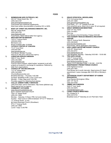**FOOD**

| 1) | BIRMINGHAM AIDS OUTREACH, INC.<br>205 32 <sup>nd</sup> Street South Ste. 101<br>(205) 322-4197<br>www.birminghamoutreach.org<br>Food boxes and nutritional supplements.<br>Must have written documentation of positive HIV or AIDS.                                                                                                                                                                                                                |
|----|----------------------------------------------------------------------------------------------------------------------------------------------------------------------------------------------------------------------------------------------------------------------------------------------------------------------------------------------------------------------------------------------------------------------------------------------------|
| 2) | <b>BODY OF CHRIST DELIVERANCE MINISTRY, INC.</b><br>900 39 <sup>th</sup> Street North<br>(205) 595-2762<br>www.thebocdm.com<br>Food Pantry. Need referral letter from agency.                                                                                                                                                                                                                                                                      |
| 3) | <b>BROTHER BRYAN MISSION</b><br>1616 2 <sup>nd</sup> Avenue North<br>(205)322-0092<br>Bbmission.com<br>Bread available after 10:00AM                                                                                                                                                                                                                                                                                                               |
| 4) | <b>CATHOLIC CENTER OF CONCERN</b><br>712 4 <sup>th</sup> Court West<br>(205) 786-4388<br>www.bhmdiocese.org<br>Food Boxes. Monday-Thursday<br>Need ID & utility bill or referral from agency.                                                                                                                                                                                                                                                      |
| 5) | <b>CHRISTIAN SERVICE MISSION</b><br>3600 3rd Ave. South<br>(205) 252-9906<br>www.csmission.org<br>Food for Work Program; abled bodies' recipients to aid with<br>projects at locations in exchange for assistance. Referred by<br>letter from organizations.                                                                                                                                                                                       |
| 6) | <b>CHURCH OF THE RECONCILER</b><br>112 14 <sup>th</sup> Street North<br>(205) 324-6402<br>Churchofthereconciler.com<br>Breakfast Monday - Thursday: 9:30 AM.<br>Sundays: Breakfast 8 AM, Lunch 12:00 noon.<br>Monday - Friday: Bag lunch 3:00 PM<br>Provides support for obtaining food stamps.                                                                                                                                                    |
| 7) | <b>COLLAT JEWISH FAMILY SERVICES</b><br>(205) 879-3438 -call for information. http://www.cjfsbham.org/<br>Need referral from an agency.                                                                                                                                                                                                                                                                                                            |
| 8) | <b>COMMUNITY KITCHENS</b><br>www.thecommunitykitchen.org<br>@ St. Andrews Episcopal Church<br>1024 12 <sup>th</sup> Street South<br>(205) 521-3569<br>Monday - Saturday 12 Noon-1PM, hot lunch inside.<br>Sunday - Sack lunch in UAB lot between 10 <sup>th</sup> & 11 <sup>th</sup> Street on<br>11 <sup>th</sup> Avenue South, 12 non<br>@ Grace Episcopal Church (Woodlawn)<br>5712 1st Avenue North<br>(205) 251-3569<br>Lunch 7 days 12:45 PM |

| 9)  | <b>GRACE EPISCOPAL (WOODLAWN)</b>                                                         |
|-----|-------------------------------------------------------------------------------------------|
|     | 5712 1st Avenue North                                                                     |
|     | (205) 251-3569                                                                            |
|     | www.gracechurchwoodlawn.org                                                               |
|     | Food Sack $-2^{nd} - 4^{th}$ Tuesday 9:00 AM.                                             |
|     | First come/first serve. Must Live in area. ID not required.                               |
| 10) | <b>GREAT BIRMINGHAM MINISTRIES</b>                                                        |
|     | 2304 12 <sup>th</sup> Ave. North                                                          |
|     | (205) 316-6821                                                                            |
|     | Gbm.org                                                                                   |
|     | Food Boxes to first 50 families; Fridays 9:00 AM                                          |
| 11) | THE FOUNDRY RESCUE MISSION & RECOVERY                                                     |
|     | <b>CENTER</b>                                                                             |
|     | 1804 6 <sup>th</sup> Avenue North, Bessemer                                               |
|     | (205) 428-8449                                                                            |
|     | www.foundryministries.com                                                                 |
|     | Food boxes, call for application information.                                             |
| 12) | HIGH LANDS UNITED METHODIST CHURCH                                                        |
|     | 1045 20th Street North                                                                    |
|     | (205) 933-8751                                                                            |
|     | www.highlandsumc.net                                                                      |
|     | Light Breakfast: Monday - Saturday 9:00 AM - 10:00 AM.                                    |
| 13) | THE HOPE HOUSE                                                                            |
|     | 1323 7 <sup>th</sup> Avenue North                                                         |
|     | (205) 252-HOPE (4673)                                                                     |
|     | www.familyconnection-inc.org                                                              |
| 14) | Teens (13-21) Monday-Friday 11:00 AM - 3:00 PM.<br><b>INDEPENDENT PRESBYTERIAN CHURCH</b> |
|     |                                                                                           |
|     | 3100 Highland Avenue<br>(205) 933-1687                                                    |
|     | Food Boxes (at 6 month intervals). Need picture ID; Need                                  |
|     | appointment. Leave message after 9:00 AM on Monday's                                      |
|     | only.                                                                                     |
| 15) | JEFFERSON COUNTY DEPARTMENT OF HUMAN                                                      |
|     | <b>RESOURCES</b>                                                                          |
|     | Food Stamps Birmingham Office                                                             |
|     | 2001 12th Ave N                                                                           |
|     | (205) 423-4200                                                                            |
| 16) | <b>JIMMIE HALE MISSION</b>                                                                |
|     | 3420 2 <sup>nd</sup> Ave. North                                                           |
|     | (205) 323-5878                                                                            |
|     | Jimmiehalemission.com                                                                     |
| 17) | <b>LIVING CHURCH MINISTRIES</b>                                                           |
|     | 401 Omega St. S                                                                           |
|     | (205) 323-3733                                                                            |

Breakfast every 4<sup>th</sup> Saturday at Linn Park 8am-10am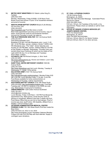18) **METRO WEST MINISTRIES** 6101 Martin Luther King Dr., Fairfield (205) 923-1545 Monday, Wednesday, Friday 9:00AM -12:00 Noon Food Boxes (must have picture 10 plus 10 for household members and proof of income) 19) **NEW PILGRAM BAPTIST CHURCH** Bread of Life Ministry 321 61h Ave. S.W. *(205) 326-6225*  http://newpilgrim.org/ Food Box twice a month. Must make appointment and show proof of income, copy of lease, social security cards for all household members. 2nd and 3rd Thursday in month. No walk-ins. 20) **THE OLD FIREHOUSE SHELTER** 1501 3rd Avenue North *(205) 252-9571*  www.firehouseshelter.com/ Breakfast 5:20 AM -5:40 AM (Residents only). Lunch 11:45 AM -12:30 PM (Men, women, children). Dinner 7:45PM -8:30 PM (Residents only). "The Table" -dinner Saturday and Sunday at 3:30 PM (Men, women, children) Meal at 3:30 PM at Day Shelter on Monday, Wednesday, Thursday (men and women) Must have Firehouse ID which can be made at First Light (2230 4th Ave. N.) on Mondays and Tuesdays from1:00pm -3:00pm. 21) **PATHWAYS, INC** 409 Richard Arrington, Jr. Blvd. North *(205) 322-6854*  http://www.pathwayshome.org Women and Children: Lunch: Daily 11 :30 AM-12:30 PM 22) **SAINT PAUL UNITED METHODIST CHURCH** 1500 6th Avenue North *(205) 252-3236*  http://www.stpaulbham.org/ Hot Lunch: Monday, Tuesday & Wednesday 11 :30AM -12:00 NOON 23) **SALVATION ARMY** 2130 11th Avenue North *(205) 328-5656*  http://salvationarmyalm.org/birmingham/ Monday-Friday 9:00 AM -4:00 PM. Lunch Monday-Friday 11:30 AM -12:30 PM. Food Boxes available for home owners/renters on Wednesday & Thursday. Call for requirements. 24) **SOUTHSIDE BAPTIST CHURCH** 1016 19th Street South (205) 933-8381 http://southsidebirmingham.org/ Food Bank Tuesdays @ 7:00 AM For residents in the 35205 zip code only. Need picture 10 and proof of residency. 25) **URBAN MINISTRY** 1229 Cotton Avenue Southwest *(205) 781-0517*  urbmin@urban-ministry.org Lunch Monday -Friday 12:00 Noon -1:00 PM Food Boxes By appointment only. Need picture, social security cards of persons in household, affidavit (Less than 2 weeks old) from Food Stamp Office that you are not on food stamps. Proof of income (pay stub, layoff notice, SSI disability, affidavit from a Shelter). Limit of 4 times a year. 26) **VETERANS ADMINISTRATION MEDICAL CENTER PHOENIX CLINIC** 700 19th Street South (First floor inside the Blue Clinic) *(205) 933-8101 ext. 6012 or ext. 6016*  http://www.birmingham.va.gov/ Homeless Veterans Monday-Fridays 8:00 AM-3:00 PM Help with food referrals. Supply is

contingent upon donations.

#### 27) **ST. PAUL LUTHERAN CHURCH**

132 6th Avenue South Birmingham, AL 35205 (205) 530-1623 Recorded Message Automated Phone Service for Clients (205) 324-2063 Voice 9:00 am-1:00 pm, 3rd Tuesdays of the month, or by appointment. Please check our website or call for more information. 28) **OFFICE OF SENIOR CITIZEN'S SERVICES (ST.** 

#### **JOSEPH SENIOR CENTER)**  1100 31st Street Ensley Birmingham, AL 35214

(205) 744-5552 Service/Intake 8:00 am-1:00 pm, Mon-Fri, for Senior Centers. 8:00 am-5:00 pm, Mon-Fri, for other services.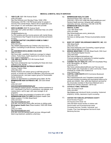#### **MEDICAL & MENTAL HEALTH SERVICES**

1) **1920 CLUB** 1920 10th Avenue South *(205) 933-6955*  http://the1920club.com/ Monday-Friday 10AM -3PM. Wednesday 2:00 PM -7:00 PM Social center for people in recovery from mental illness. Need to fill out application and have proper I.D. and verification order from provider. 2) **AIDS ALABAMA** 3529 7th Avenue South *(800) 592-2437 (2050* 324-9822 *Confidential Help Line (205) 324-9308*  info@aidsalabama.org For HIV-positive and low income persons with mental illness. Comprehensive Day Program & service-enriched permanent housing. 3) **ALABAMA BAPTIST CHILDREN'S HOME & FAMILY MINISTRIES**  *(205) 945-0037* http://WWN.alabamachild.org/ Children who have lost a parent. Counseling & multi-services. According to need. No fee. 4) **ALLKIDS/MEDICAID/ALABAMA CHILDCARE**  (888) 573-5437 http://www.adph .org/allkids/ Healthcare coverage for indigent children. Public library, health department & schools may also have copies of applications. 5) **THE AMELIA CENTER** 1513 4th Avenue South *(205) 251-3430*  http://www.ameliacenter.org/ Counseling for those who have suffered a loss. No fee. 6) **BEGINNING BRIDGE OUTREACH MINISTRY**  Various Program Sites. *(205) 966-2194*  Weekly Positive Life Lesson group (a self-help group for anyone, to include non-violent ex-offenders, drug recovery and homelessness,etc.) and peer support group for incarcerated family members. Call for an appointment or scheduled group dates. No fee. 7) **BIRMINGHAM AIDS OUTREACH, INC**. 205 32nd Street South *(205) 322-4197*  www.birminghamaidsQutreach.org/ Counseling & support groups. Provides medical assistance to HIV+ individuals in the form of medications, eye glasses, and medical items -call for appt. with case manager on all programs. Must have written documentation of positive HIV or AIDS. 8) **BIRMINGHAM HEALTH CARE** Birmingham Health Care (Metro location) 712 25th Street North *(205) 323-5311*  http://bhamhealthcare.coml 8:00 AM -5:00 PM All Clinics offer services on sliding scale 9) **Birmingham Health Care** (Plaza location) 1600 20th Street South *(205) 212-5600*  http://bhamhealthcare.com/ 10) **BIRMINGHAM HEALTH CARE DENTAL CLINIC**  1333 19th Street north *(205) 322-8288*  7:30 AM -4:30 PM care. 39th Street North *(205) 595-2762 (205) 930-0309 (205) 991-8771*  www.miclinica.org *(205) 956-2000*  16) **CATHOLIC FAMILY SERVICES** 2164 11th Avenue South *(205) 324-6561*  Small Wonders Program

8:00 AM -5:00 PM General health services, bilingual staff, black lung treatment, pediatrics, pharmacy.

(Norwood Plaza) 2401 15th Ave. N. *(205) 841-7760* or 637.2286 http://bhamhealthcare.com/ General Health services, bilingual staff, pediatrics, optometry services, pharmacy. 8:00 AM -5:00 PM.

# 11) **BIRMINGHAM HEALTH CARE**

http://bhamhealthcare.com/s\_dental.php Services on sliding scale; Primary & preventative dental

# 12) **BODY OF CHRIST DELIVERANCE MINISTRY, INC.** 900

http://www.thebocdm.com/ Counseling, support groups. Need referral letter from agency.

13) **BRIDGE MINISTRIES** 101619th Street South (10th Court side of Southside Baptist Church) http://www.bridgeministriesbham.org/ Financial assistance for medication & medical supplies emergencies. (By Appointment Only)

## 14) **CAHABA VALLEY HEALTH** CARE 4515 Southlake Pkwy #150, Birmingham, AL 35244 http://www.cahabavalleyhealthcare.org/ Free eye and dental health care; Especially to Latino community. Check schedule for mobile clinic locations at:

15) **CAPITOL CARE SOUTH** 2619 Commerce Boulevard http://capitolcaresouth.com/ Outpatient mental health services including counseling and psychiatrist follow-up for adults and children. Also, adult day treatment services for the chronically mentally ill. Must have Medicaid and a referral from primary physician. Call for apt.

http:/lcfsbhm.org/ Individual & family counseling. Unplanned pregnancy, anxiety, depression & grief counseling.

#### 17) **CENTER FOR FAMILIES-JEFFERSON COUNTY**

234 Aquarius Drive Suite 122 (205) 945-6000 Assists families of children with special health care & developmental needs. Counseling Services: Families, Individuals, and Couples. Free Case Management Services & Adult Mentoring Services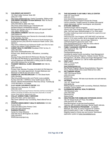| (205) 241-7148<br>$(205)$ 801-5151<br>http://www.childrensaid.org Family Counseling. Sliding scale.<br>www.stopchildabusealabama.com<br><b>CHILDREN'S REHABILITATION SERVICE 1600 7th Ave S,</b><br>Parents Anonymous Support Groups-No Charge<br>Birmingham, AL 35233<br>Call for schedule. Targets parents of children with special<br>(205) 939-5900 & (888) 430-7423<br>needs (behavioral, mental, neurological, and physical).<br>http:/lwww.rehab.alabama.gov/individuals-and<br>30)<br><b>EYECARE AMERICA</b><br>families/children's-rehabilitation-service<br>Ophthalmologist referral programs<br>Medical and therapy service for children with special health<br>Seniors Eye Care Program: (877) 887-6327 Ages 65 and<br>care needs. Sliding scale.<br>older. Not have seen ophthalmologist in 3 or more years.<br><b>CHILDREN'S HARBOR 1600 6th Avenue South</b><br>20)<br>Provides medical eye exam and services for a year at no out-<br>(205) 939-6123<br>of-pocket cost.<br>https:llchildrensharbor.com/ Service for chronically ill children<br>Glaucoma Eye Care Program: (877) 887-6327 not had eye<br>& their families. No Fees.<br>exam in 12 or more months. Be at increased risk for glaucoma<br>CHILDREN'S HOSPITAL 1600 7th Avenue South Emergency &<br>21)<br>based on family history, race and age. Referral to<br>hospital services (205) 939-9100 Adolescent Health Center: (205)<br>ophthalmologist for glaucoma exam. Visit<br>939-9141<br>www.eyecareamerica.org to take the online referral<br>https:/lwww.childrensal.org/ Adolescent health care Clinic for teen<br>questionnaire to see if you qualify.<br>mothers and children. Eating disorders clinic.<br>31)<br>FAMILY GUIDANCE CENTER OF ALABAMA<br><b>CHRIST HEALTH CENTERS Woodlawn 5720 1st Ave. S.</b><br>22)<br>234 Aquarius Dr. Ste. 118<br>(205) 380-9455<br>$(205)$ 945-6000<br>http://www.christhealthcenter.orgl<br>Familyguidancecenter.org<br>Primary care, dental services, medications, counseling<br>Individual & martial Family counseling, Case Management,<br>services.<br>Parenting Educational Programs, Classes Include: Money<br>Monday-Friday 8:00 AM-5:00 PM Dental: Monday-Thursday<br>Management, Life Skills, Stress and Anger Management, Free<br>8:00 AM-4:00 PM Mostly by appointments, but can walk-in.<br>to residents of Jefferson Co. Call for intake appointment.<br>Accepts Medicare and Medicaid or sliding scale for self-pay<br><b>FIRST LIGHT</b><br>32)<br>with a \$30 minimum for no income.<br>2230 4th Avenue North<br><b>FOUNDRY MEDICAL CLINIC- BESSEMER 608 18th St.</b><br>23)<br>(205) 323-4277<br>North<br>www.firstlightshelter.org<br>(205) 428-2810<br>Day Service Program: Mental Illness/Addiction; Recovery<br>Primary Care; Monday-Thursday 8:30 AM-5:30 PM Walk-Ins<br>Group; Mental Health Clinic (need Referral from JBS).<br>welcome. Can make appointment. Accepts Medicare and<br>33)<br><b>FELLOWSHIP HOUSE</b><br>Medicaid or \$35.00 plus lab work or tests.<br>1625 12ht Avenue South<br><b>CHURCH OF THE RECONCILER 112 14th Street North</b><br>24)<br>(205) 933-2430<br>(205) 324-6402<br>Fshbhm.org<br>Http://churchofthereconciler.coml Parish nurse available<br>Residential Program. Will take dual disorder and self-referrals.<br>Sunday 8:00 AM -1:00PM for minor health issues. Men &<br><b>GATEWAY</b><br>34)<br>Women. Mental Illness/Addiction Recovery Group: Tuesday @<br>1401 20 <sup>th</sup> Street South<br>10:00 AM Walk in, no charge.<br>www.gway.org<br>25)<br><b>CLAY HOUSE CHILDREN'S CENTER 1830</b><br>Sliding scale on mental health counseling. Medicaid, Medicare<br>Dartmouth Ave, Bessemer, AL 35020<br>accepted. Call for details.<br>$(205)$ 481-4155<br><b>GLENNWOOD MENTAL HEALTH SERVICE</b><br>35)<br>http://www.clay-house.org/ Forensic interviews and free counseling for<br>150 Glenwood Lane<br>children and family of children who have been physically or sexually<br>(205) 969-2880<br>abused. Need referral. Appointment only.<br>Glenwood.org<br><b>COLLAT JEWISH FAMILY SERVICES</b><br>26)<br><b>Sliding Scale</b><br>(205) 879-3438 -call for information.<br>HEALTHCARE FOR HOMELESS VETERANS (HCHV)<br>36)<br>http://www.cjfsbham.org/ Counseling. Need referral from an<br>700 19th Street South (2 <sup>nd</sup> Floor, Rm.2900)<br>agency.<br>(205) 933-8101 ext. 5508<br><b>COOPER GREEN MERCY HEALTH SERVICES 1515 6th</b><br>27)<br>www,Birmingham.va.gov/services/homeless/<br>Avenue South<br>Veterans with honorable discharge. Mental Health referrals.<br>(205) 930-3600 (Clinic-Primary Care)<br><b>HEALTH INSURANCE PROGRAMS - ALABAMA</b><br>37)<br>(205) 930-3242 (Pharmacy)<br>Medicaid, ALL Kids, & Caring Programs for Children.<br><b>DANNON PROJECT</b><br>28)<br>800-373-KIDS (5437) 7 AM - 6 PM Monday-Friday<br><b>Center for Urban Missions</b><br>Eligibility based on family size and income. Web-based<br>2324 5th Ave N, Birmingham, AL 35203<br>application system at www.insurealabama.org<br>(205) 202-4072 | 18) | <b>CHILDREN'S AID SOCIETY</b>     | 29) | THE EXCHANGE CLUB FAMILY SKILLS CENTER |
|-------------------------------------------------------------------------------------------------------------------------------------------------------------------------------------------------------------------------------------------------------------------------------------------------------------------------------------------------------------------------------------------------------------------------------------------------------------------------------------------------------------------------------------------------------------------------------------------------------------------------------------------------------------------------------------------------------------------------------------------------------------------------------------------------------------------------------------------------------------------------------------------------------------------------------------------------------------------------------------------------------------------------------------------------------------------------------------------------------------------------------------------------------------------------------------------------------------------------------------------------------------------------------------------------------------------------------------------------------------------------------------------------------------------------------------------------------------------------------------------------------------------------------------------------------------------------------------------------------------------------------------------------------------------------------------------------------------------------------------------------------------------------------------------------------------------------------------------------------------------------------------------------------------------------------------------------------------------------------------------------------------------------------------------------------------------------------------------------------------------------------------------------------------------------------------------------------------------------------------------------------------------------------------------------------------------------------------------------------------------------------------------------------------------------------------------------------------------------------------------------------------------------------------------------------------------------------------------------------------------------------------------------------------------------------------------------------------------------------------------------------------------------------------------------------------------------------------------------------------------------------------------------------------------------------------------------------------------------------------------------------------------------------------------------------------------------------------------------------------------------------------------------------------------------------------------------------------------------------------------------------------------------------------------------------------------------------------------------------------------------------------------------------------------------------------------------------------------------------------------------------------------------------------------------------------------------------------------------------------------------------------------------------------------------------------------------------------------------------------------------------------------------------------------------------------------------------------------------------------------------------------------------------------------------------------------------------------------------------------------------------------------------------------------------------------------------------------------------------------------------------------------------------------------------------------------------------------------------------------------------------------------------------------------------------------------------------------------------------------------------------------------------------------------------------------------------------------------------------------------------------------------------------------------------------------------------------------------------------------------------------------------------------------------------------------------------------------------------------------------------------------------------------------------------------------------------------------------------------------------------------------------------------------------------------------------------------------------------------------------------------------------------------------------------------------|-----|-----------------------------------|-----|----------------------------------------|
|                                                                                                                                                                                                                                                                                                                                                                                                                                                                                                                                                                                                                                                                                                                                                                                                                                                                                                                                                                                                                                                                                                                                                                                                                                                                                                                                                                                                                                                                                                                                                                                                                                                                                                                                                                                                                                                                                                                                                                                                                                                                                                                                                                                                                                                                                                                                                                                                                                                                                                                                                                                                                                                                                                                                                                                                                                                                                                                                                                                                                                                                                                                                                                                                                                                                                                                                                                                                                                                                                                                                                                                                                                                                                                                                                                                                                                                                                                                                                                                                                                                                                                                                                                                                                                                                                                                                                                                                                                                                                                                                                                                                                                                                                                                                                                                                                                                                                                                                                                                                                                                             |     | 181 West Valley Avenue, Suite 300 |     | 2300 10 <sup>th</sup> Court South      |
|                                                                                                                                                                                                                                                                                                                                                                                                                                                                                                                                                                                                                                                                                                                                                                                                                                                                                                                                                                                                                                                                                                                                                                                                                                                                                                                                                                                                                                                                                                                                                                                                                                                                                                                                                                                                                                                                                                                                                                                                                                                                                                                                                                                                                                                                                                                                                                                                                                                                                                                                                                                                                                                                                                                                                                                                                                                                                                                                                                                                                                                                                                                                                                                                                                                                                                                                                                                                                                                                                                                                                                                                                                                                                                                                                                                                                                                                                                                                                                                                                                                                                                                                                                                                                                                                                                                                                                                                                                                                                                                                                                                                                                                                                                                                                                                                                                                                                                                                                                                                                                                             |     |                                   |     |                                        |
|                                                                                                                                                                                                                                                                                                                                                                                                                                                                                                                                                                                                                                                                                                                                                                                                                                                                                                                                                                                                                                                                                                                                                                                                                                                                                                                                                                                                                                                                                                                                                                                                                                                                                                                                                                                                                                                                                                                                                                                                                                                                                                                                                                                                                                                                                                                                                                                                                                                                                                                                                                                                                                                                                                                                                                                                                                                                                                                                                                                                                                                                                                                                                                                                                                                                                                                                                                                                                                                                                                                                                                                                                                                                                                                                                                                                                                                                                                                                                                                                                                                                                                                                                                                                                                                                                                                                                                                                                                                                                                                                                                                                                                                                                                                                                                                                                                                                                                                                                                                                                                                             |     |                                   |     |                                        |
|                                                                                                                                                                                                                                                                                                                                                                                                                                                                                                                                                                                                                                                                                                                                                                                                                                                                                                                                                                                                                                                                                                                                                                                                                                                                                                                                                                                                                                                                                                                                                                                                                                                                                                                                                                                                                                                                                                                                                                                                                                                                                                                                                                                                                                                                                                                                                                                                                                                                                                                                                                                                                                                                                                                                                                                                                                                                                                                                                                                                                                                                                                                                                                                                                                                                                                                                                                                                                                                                                                                                                                                                                                                                                                                                                                                                                                                                                                                                                                                                                                                                                                                                                                                                                                                                                                                                                                                                                                                                                                                                                                                                                                                                                                                                                                                                                                                                                                                                                                                                                                                             | 19) |                                   |     |                                        |
|                                                                                                                                                                                                                                                                                                                                                                                                                                                                                                                                                                                                                                                                                                                                                                                                                                                                                                                                                                                                                                                                                                                                                                                                                                                                                                                                                                                                                                                                                                                                                                                                                                                                                                                                                                                                                                                                                                                                                                                                                                                                                                                                                                                                                                                                                                                                                                                                                                                                                                                                                                                                                                                                                                                                                                                                                                                                                                                                                                                                                                                                                                                                                                                                                                                                                                                                                                                                                                                                                                                                                                                                                                                                                                                                                                                                                                                                                                                                                                                                                                                                                                                                                                                                                                                                                                                                                                                                                                                                                                                                                                                                                                                                                                                                                                                                                                                                                                                                                                                                                                                             |     |                                   |     |                                        |
|                                                                                                                                                                                                                                                                                                                                                                                                                                                                                                                                                                                                                                                                                                                                                                                                                                                                                                                                                                                                                                                                                                                                                                                                                                                                                                                                                                                                                                                                                                                                                                                                                                                                                                                                                                                                                                                                                                                                                                                                                                                                                                                                                                                                                                                                                                                                                                                                                                                                                                                                                                                                                                                                                                                                                                                                                                                                                                                                                                                                                                                                                                                                                                                                                                                                                                                                                                                                                                                                                                                                                                                                                                                                                                                                                                                                                                                                                                                                                                                                                                                                                                                                                                                                                                                                                                                                                                                                                                                                                                                                                                                                                                                                                                                                                                                                                                                                                                                                                                                                                                                             |     |                                   |     |                                        |
|                                                                                                                                                                                                                                                                                                                                                                                                                                                                                                                                                                                                                                                                                                                                                                                                                                                                                                                                                                                                                                                                                                                                                                                                                                                                                                                                                                                                                                                                                                                                                                                                                                                                                                                                                                                                                                                                                                                                                                                                                                                                                                                                                                                                                                                                                                                                                                                                                                                                                                                                                                                                                                                                                                                                                                                                                                                                                                                                                                                                                                                                                                                                                                                                                                                                                                                                                                                                                                                                                                                                                                                                                                                                                                                                                                                                                                                                                                                                                                                                                                                                                                                                                                                                                                                                                                                                                                                                                                                                                                                                                                                                                                                                                                                                                                                                                                                                                                                                                                                                                                                             |     |                                   |     |                                        |
|                                                                                                                                                                                                                                                                                                                                                                                                                                                                                                                                                                                                                                                                                                                                                                                                                                                                                                                                                                                                                                                                                                                                                                                                                                                                                                                                                                                                                                                                                                                                                                                                                                                                                                                                                                                                                                                                                                                                                                                                                                                                                                                                                                                                                                                                                                                                                                                                                                                                                                                                                                                                                                                                                                                                                                                                                                                                                                                                                                                                                                                                                                                                                                                                                                                                                                                                                                                                                                                                                                                                                                                                                                                                                                                                                                                                                                                                                                                                                                                                                                                                                                                                                                                                                                                                                                                                                                                                                                                                                                                                                                                                                                                                                                                                                                                                                                                                                                                                                                                                                                                             |     |                                   |     |                                        |
|                                                                                                                                                                                                                                                                                                                                                                                                                                                                                                                                                                                                                                                                                                                                                                                                                                                                                                                                                                                                                                                                                                                                                                                                                                                                                                                                                                                                                                                                                                                                                                                                                                                                                                                                                                                                                                                                                                                                                                                                                                                                                                                                                                                                                                                                                                                                                                                                                                                                                                                                                                                                                                                                                                                                                                                                                                                                                                                                                                                                                                                                                                                                                                                                                                                                                                                                                                                                                                                                                                                                                                                                                                                                                                                                                                                                                                                                                                                                                                                                                                                                                                                                                                                                                                                                                                                                                                                                                                                                                                                                                                                                                                                                                                                                                                                                                                                                                                                                                                                                                                                             |     |                                   |     |                                        |
|                                                                                                                                                                                                                                                                                                                                                                                                                                                                                                                                                                                                                                                                                                                                                                                                                                                                                                                                                                                                                                                                                                                                                                                                                                                                                                                                                                                                                                                                                                                                                                                                                                                                                                                                                                                                                                                                                                                                                                                                                                                                                                                                                                                                                                                                                                                                                                                                                                                                                                                                                                                                                                                                                                                                                                                                                                                                                                                                                                                                                                                                                                                                                                                                                                                                                                                                                                                                                                                                                                                                                                                                                                                                                                                                                                                                                                                                                                                                                                                                                                                                                                                                                                                                                                                                                                                                                                                                                                                                                                                                                                                                                                                                                                                                                                                                                                                                                                                                                                                                                                                             |     |                                   |     |                                        |
|                                                                                                                                                                                                                                                                                                                                                                                                                                                                                                                                                                                                                                                                                                                                                                                                                                                                                                                                                                                                                                                                                                                                                                                                                                                                                                                                                                                                                                                                                                                                                                                                                                                                                                                                                                                                                                                                                                                                                                                                                                                                                                                                                                                                                                                                                                                                                                                                                                                                                                                                                                                                                                                                                                                                                                                                                                                                                                                                                                                                                                                                                                                                                                                                                                                                                                                                                                                                                                                                                                                                                                                                                                                                                                                                                                                                                                                                                                                                                                                                                                                                                                                                                                                                                                                                                                                                                                                                                                                                                                                                                                                                                                                                                                                                                                                                                                                                                                                                                                                                                                                             |     |                                   |     |                                        |
|                                                                                                                                                                                                                                                                                                                                                                                                                                                                                                                                                                                                                                                                                                                                                                                                                                                                                                                                                                                                                                                                                                                                                                                                                                                                                                                                                                                                                                                                                                                                                                                                                                                                                                                                                                                                                                                                                                                                                                                                                                                                                                                                                                                                                                                                                                                                                                                                                                                                                                                                                                                                                                                                                                                                                                                                                                                                                                                                                                                                                                                                                                                                                                                                                                                                                                                                                                                                                                                                                                                                                                                                                                                                                                                                                                                                                                                                                                                                                                                                                                                                                                                                                                                                                                                                                                                                                                                                                                                                                                                                                                                                                                                                                                                                                                                                                                                                                                                                                                                                                                                             |     |                                   |     |                                        |
|                                                                                                                                                                                                                                                                                                                                                                                                                                                                                                                                                                                                                                                                                                                                                                                                                                                                                                                                                                                                                                                                                                                                                                                                                                                                                                                                                                                                                                                                                                                                                                                                                                                                                                                                                                                                                                                                                                                                                                                                                                                                                                                                                                                                                                                                                                                                                                                                                                                                                                                                                                                                                                                                                                                                                                                                                                                                                                                                                                                                                                                                                                                                                                                                                                                                                                                                                                                                                                                                                                                                                                                                                                                                                                                                                                                                                                                                                                                                                                                                                                                                                                                                                                                                                                                                                                                                                                                                                                                                                                                                                                                                                                                                                                                                                                                                                                                                                                                                                                                                                                                             |     |                                   |     |                                        |
|                                                                                                                                                                                                                                                                                                                                                                                                                                                                                                                                                                                                                                                                                                                                                                                                                                                                                                                                                                                                                                                                                                                                                                                                                                                                                                                                                                                                                                                                                                                                                                                                                                                                                                                                                                                                                                                                                                                                                                                                                                                                                                                                                                                                                                                                                                                                                                                                                                                                                                                                                                                                                                                                                                                                                                                                                                                                                                                                                                                                                                                                                                                                                                                                                                                                                                                                                                                                                                                                                                                                                                                                                                                                                                                                                                                                                                                                                                                                                                                                                                                                                                                                                                                                                                                                                                                                                                                                                                                                                                                                                                                                                                                                                                                                                                                                                                                                                                                                                                                                                                                             |     |                                   |     |                                        |
|                                                                                                                                                                                                                                                                                                                                                                                                                                                                                                                                                                                                                                                                                                                                                                                                                                                                                                                                                                                                                                                                                                                                                                                                                                                                                                                                                                                                                                                                                                                                                                                                                                                                                                                                                                                                                                                                                                                                                                                                                                                                                                                                                                                                                                                                                                                                                                                                                                                                                                                                                                                                                                                                                                                                                                                                                                                                                                                                                                                                                                                                                                                                                                                                                                                                                                                                                                                                                                                                                                                                                                                                                                                                                                                                                                                                                                                                                                                                                                                                                                                                                                                                                                                                                                                                                                                                                                                                                                                                                                                                                                                                                                                                                                                                                                                                                                                                                                                                                                                                                                                             |     |                                   |     |                                        |
|                                                                                                                                                                                                                                                                                                                                                                                                                                                                                                                                                                                                                                                                                                                                                                                                                                                                                                                                                                                                                                                                                                                                                                                                                                                                                                                                                                                                                                                                                                                                                                                                                                                                                                                                                                                                                                                                                                                                                                                                                                                                                                                                                                                                                                                                                                                                                                                                                                                                                                                                                                                                                                                                                                                                                                                                                                                                                                                                                                                                                                                                                                                                                                                                                                                                                                                                                                                                                                                                                                                                                                                                                                                                                                                                                                                                                                                                                                                                                                                                                                                                                                                                                                                                                                                                                                                                                                                                                                                                                                                                                                                                                                                                                                                                                                                                                                                                                                                                                                                                                                                             |     |                                   |     |                                        |
|                                                                                                                                                                                                                                                                                                                                                                                                                                                                                                                                                                                                                                                                                                                                                                                                                                                                                                                                                                                                                                                                                                                                                                                                                                                                                                                                                                                                                                                                                                                                                                                                                                                                                                                                                                                                                                                                                                                                                                                                                                                                                                                                                                                                                                                                                                                                                                                                                                                                                                                                                                                                                                                                                                                                                                                                                                                                                                                                                                                                                                                                                                                                                                                                                                                                                                                                                                                                                                                                                                                                                                                                                                                                                                                                                                                                                                                                                                                                                                                                                                                                                                                                                                                                                                                                                                                                                                                                                                                                                                                                                                                                                                                                                                                                                                                                                                                                                                                                                                                                                                                             |     |                                   |     |                                        |
|                                                                                                                                                                                                                                                                                                                                                                                                                                                                                                                                                                                                                                                                                                                                                                                                                                                                                                                                                                                                                                                                                                                                                                                                                                                                                                                                                                                                                                                                                                                                                                                                                                                                                                                                                                                                                                                                                                                                                                                                                                                                                                                                                                                                                                                                                                                                                                                                                                                                                                                                                                                                                                                                                                                                                                                                                                                                                                                                                                                                                                                                                                                                                                                                                                                                                                                                                                                                                                                                                                                                                                                                                                                                                                                                                                                                                                                                                                                                                                                                                                                                                                                                                                                                                                                                                                                                                                                                                                                                                                                                                                                                                                                                                                                                                                                                                                                                                                                                                                                                                                                             |     |                                   |     |                                        |
|                                                                                                                                                                                                                                                                                                                                                                                                                                                                                                                                                                                                                                                                                                                                                                                                                                                                                                                                                                                                                                                                                                                                                                                                                                                                                                                                                                                                                                                                                                                                                                                                                                                                                                                                                                                                                                                                                                                                                                                                                                                                                                                                                                                                                                                                                                                                                                                                                                                                                                                                                                                                                                                                                                                                                                                                                                                                                                                                                                                                                                                                                                                                                                                                                                                                                                                                                                                                                                                                                                                                                                                                                                                                                                                                                                                                                                                                                                                                                                                                                                                                                                                                                                                                                                                                                                                                                                                                                                                                                                                                                                                                                                                                                                                                                                                                                                                                                                                                                                                                                                                             |     |                                   |     |                                        |
|                                                                                                                                                                                                                                                                                                                                                                                                                                                                                                                                                                                                                                                                                                                                                                                                                                                                                                                                                                                                                                                                                                                                                                                                                                                                                                                                                                                                                                                                                                                                                                                                                                                                                                                                                                                                                                                                                                                                                                                                                                                                                                                                                                                                                                                                                                                                                                                                                                                                                                                                                                                                                                                                                                                                                                                                                                                                                                                                                                                                                                                                                                                                                                                                                                                                                                                                                                                                                                                                                                                                                                                                                                                                                                                                                                                                                                                                                                                                                                                                                                                                                                                                                                                                                                                                                                                                                                                                                                                                                                                                                                                                                                                                                                                                                                                                                                                                                                                                                                                                                                                             |     |                                   |     |                                        |
|                                                                                                                                                                                                                                                                                                                                                                                                                                                                                                                                                                                                                                                                                                                                                                                                                                                                                                                                                                                                                                                                                                                                                                                                                                                                                                                                                                                                                                                                                                                                                                                                                                                                                                                                                                                                                                                                                                                                                                                                                                                                                                                                                                                                                                                                                                                                                                                                                                                                                                                                                                                                                                                                                                                                                                                                                                                                                                                                                                                                                                                                                                                                                                                                                                                                                                                                                                                                                                                                                                                                                                                                                                                                                                                                                                                                                                                                                                                                                                                                                                                                                                                                                                                                                                                                                                                                                                                                                                                                                                                                                                                                                                                                                                                                                                                                                                                                                                                                                                                                                                                             |     |                                   |     |                                        |
|                                                                                                                                                                                                                                                                                                                                                                                                                                                                                                                                                                                                                                                                                                                                                                                                                                                                                                                                                                                                                                                                                                                                                                                                                                                                                                                                                                                                                                                                                                                                                                                                                                                                                                                                                                                                                                                                                                                                                                                                                                                                                                                                                                                                                                                                                                                                                                                                                                                                                                                                                                                                                                                                                                                                                                                                                                                                                                                                                                                                                                                                                                                                                                                                                                                                                                                                                                                                                                                                                                                                                                                                                                                                                                                                                                                                                                                                                                                                                                                                                                                                                                                                                                                                                                                                                                                                                                                                                                                                                                                                                                                                                                                                                                                                                                                                                                                                                                                                                                                                                                                             |     |                                   |     |                                        |
|                                                                                                                                                                                                                                                                                                                                                                                                                                                                                                                                                                                                                                                                                                                                                                                                                                                                                                                                                                                                                                                                                                                                                                                                                                                                                                                                                                                                                                                                                                                                                                                                                                                                                                                                                                                                                                                                                                                                                                                                                                                                                                                                                                                                                                                                                                                                                                                                                                                                                                                                                                                                                                                                                                                                                                                                                                                                                                                                                                                                                                                                                                                                                                                                                                                                                                                                                                                                                                                                                                                                                                                                                                                                                                                                                                                                                                                                                                                                                                                                                                                                                                                                                                                                                                                                                                                                                                                                                                                                                                                                                                                                                                                                                                                                                                                                                                                                                                                                                                                                                                                             |     |                                   |     |                                        |
|                                                                                                                                                                                                                                                                                                                                                                                                                                                                                                                                                                                                                                                                                                                                                                                                                                                                                                                                                                                                                                                                                                                                                                                                                                                                                                                                                                                                                                                                                                                                                                                                                                                                                                                                                                                                                                                                                                                                                                                                                                                                                                                                                                                                                                                                                                                                                                                                                                                                                                                                                                                                                                                                                                                                                                                                                                                                                                                                                                                                                                                                                                                                                                                                                                                                                                                                                                                                                                                                                                                                                                                                                                                                                                                                                                                                                                                                                                                                                                                                                                                                                                                                                                                                                                                                                                                                                                                                                                                                                                                                                                                                                                                                                                                                                                                                                                                                                                                                                                                                                                                             |     |                                   |     |                                        |
|                                                                                                                                                                                                                                                                                                                                                                                                                                                                                                                                                                                                                                                                                                                                                                                                                                                                                                                                                                                                                                                                                                                                                                                                                                                                                                                                                                                                                                                                                                                                                                                                                                                                                                                                                                                                                                                                                                                                                                                                                                                                                                                                                                                                                                                                                                                                                                                                                                                                                                                                                                                                                                                                                                                                                                                                                                                                                                                                                                                                                                                                                                                                                                                                                                                                                                                                                                                                                                                                                                                                                                                                                                                                                                                                                                                                                                                                                                                                                                                                                                                                                                                                                                                                                                                                                                                                                                                                                                                                                                                                                                                                                                                                                                                                                                                                                                                                                                                                                                                                                                                             |     |                                   |     |                                        |
|                                                                                                                                                                                                                                                                                                                                                                                                                                                                                                                                                                                                                                                                                                                                                                                                                                                                                                                                                                                                                                                                                                                                                                                                                                                                                                                                                                                                                                                                                                                                                                                                                                                                                                                                                                                                                                                                                                                                                                                                                                                                                                                                                                                                                                                                                                                                                                                                                                                                                                                                                                                                                                                                                                                                                                                                                                                                                                                                                                                                                                                                                                                                                                                                                                                                                                                                                                                                                                                                                                                                                                                                                                                                                                                                                                                                                                                                                                                                                                                                                                                                                                                                                                                                                                                                                                                                                                                                                                                                                                                                                                                                                                                                                                                                                                                                                                                                                                                                                                                                                                                             |     |                                   |     |                                        |
|                                                                                                                                                                                                                                                                                                                                                                                                                                                                                                                                                                                                                                                                                                                                                                                                                                                                                                                                                                                                                                                                                                                                                                                                                                                                                                                                                                                                                                                                                                                                                                                                                                                                                                                                                                                                                                                                                                                                                                                                                                                                                                                                                                                                                                                                                                                                                                                                                                                                                                                                                                                                                                                                                                                                                                                                                                                                                                                                                                                                                                                                                                                                                                                                                                                                                                                                                                                                                                                                                                                                                                                                                                                                                                                                                                                                                                                                                                                                                                                                                                                                                                                                                                                                                                                                                                                                                                                                                                                                                                                                                                                                                                                                                                                                                                                                                                                                                                                                                                                                                                                             |     |                                   |     |                                        |
|                                                                                                                                                                                                                                                                                                                                                                                                                                                                                                                                                                                                                                                                                                                                                                                                                                                                                                                                                                                                                                                                                                                                                                                                                                                                                                                                                                                                                                                                                                                                                                                                                                                                                                                                                                                                                                                                                                                                                                                                                                                                                                                                                                                                                                                                                                                                                                                                                                                                                                                                                                                                                                                                                                                                                                                                                                                                                                                                                                                                                                                                                                                                                                                                                                                                                                                                                                                                                                                                                                                                                                                                                                                                                                                                                                                                                                                                                                                                                                                                                                                                                                                                                                                                                                                                                                                                                                                                                                                                                                                                                                                                                                                                                                                                                                                                                                                                                                                                                                                                                                                             |     |                                   |     |                                        |
|                                                                                                                                                                                                                                                                                                                                                                                                                                                                                                                                                                                                                                                                                                                                                                                                                                                                                                                                                                                                                                                                                                                                                                                                                                                                                                                                                                                                                                                                                                                                                                                                                                                                                                                                                                                                                                                                                                                                                                                                                                                                                                                                                                                                                                                                                                                                                                                                                                                                                                                                                                                                                                                                                                                                                                                                                                                                                                                                                                                                                                                                                                                                                                                                                                                                                                                                                                                                                                                                                                                                                                                                                                                                                                                                                                                                                                                                                                                                                                                                                                                                                                                                                                                                                                                                                                                                                                                                                                                                                                                                                                                                                                                                                                                                                                                                                                                                                                                                                                                                                                                             |     |                                   |     |                                        |
|                                                                                                                                                                                                                                                                                                                                                                                                                                                                                                                                                                                                                                                                                                                                                                                                                                                                                                                                                                                                                                                                                                                                                                                                                                                                                                                                                                                                                                                                                                                                                                                                                                                                                                                                                                                                                                                                                                                                                                                                                                                                                                                                                                                                                                                                                                                                                                                                                                                                                                                                                                                                                                                                                                                                                                                                                                                                                                                                                                                                                                                                                                                                                                                                                                                                                                                                                                                                                                                                                                                                                                                                                                                                                                                                                                                                                                                                                                                                                                                                                                                                                                                                                                                                                                                                                                                                                                                                                                                                                                                                                                                                                                                                                                                                                                                                                                                                                                                                                                                                                                                             |     |                                   |     |                                        |
|                                                                                                                                                                                                                                                                                                                                                                                                                                                                                                                                                                                                                                                                                                                                                                                                                                                                                                                                                                                                                                                                                                                                                                                                                                                                                                                                                                                                                                                                                                                                                                                                                                                                                                                                                                                                                                                                                                                                                                                                                                                                                                                                                                                                                                                                                                                                                                                                                                                                                                                                                                                                                                                                                                                                                                                                                                                                                                                                                                                                                                                                                                                                                                                                                                                                                                                                                                                                                                                                                                                                                                                                                                                                                                                                                                                                                                                                                                                                                                                                                                                                                                                                                                                                                                                                                                                                                                                                                                                                                                                                                                                                                                                                                                                                                                                                                                                                                                                                                                                                                                                             |     |                                   |     |                                        |
|                                                                                                                                                                                                                                                                                                                                                                                                                                                                                                                                                                                                                                                                                                                                                                                                                                                                                                                                                                                                                                                                                                                                                                                                                                                                                                                                                                                                                                                                                                                                                                                                                                                                                                                                                                                                                                                                                                                                                                                                                                                                                                                                                                                                                                                                                                                                                                                                                                                                                                                                                                                                                                                                                                                                                                                                                                                                                                                                                                                                                                                                                                                                                                                                                                                                                                                                                                                                                                                                                                                                                                                                                                                                                                                                                                                                                                                                                                                                                                                                                                                                                                                                                                                                                                                                                                                                                                                                                                                                                                                                                                                                                                                                                                                                                                                                                                                                                                                                                                                                                                                             |     |                                   |     |                                        |
|                                                                                                                                                                                                                                                                                                                                                                                                                                                                                                                                                                                                                                                                                                                                                                                                                                                                                                                                                                                                                                                                                                                                                                                                                                                                                                                                                                                                                                                                                                                                                                                                                                                                                                                                                                                                                                                                                                                                                                                                                                                                                                                                                                                                                                                                                                                                                                                                                                                                                                                                                                                                                                                                                                                                                                                                                                                                                                                                                                                                                                                                                                                                                                                                                                                                                                                                                                                                                                                                                                                                                                                                                                                                                                                                                                                                                                                                                                                                                                                                                                                                                                                                                                                                                                                                                                                                                                                                                                                                                                                                                                                                                                                                                                                                                                                                                                                                                                                                                                                                                                                             |     |                                   |     |                                        |
|                                                                                                                                                                                                                                                                                                                                                                                                                                                                                                                                                                                                                                                                                                                                                                                                                                                                                                                                                                                                                                                                                                                                                                                                                                                                                                                                                                                                                                                                                                                                                                                                                                                                                                                                                                                                                                                                                                                                                                                                                                                                                                                                                                                                                                                                                                                                                                                                                                                                                                                                                                                                                                                                                                                                                                                                                                                                                                                                                                                                                                                                                                                                                                                                                                                                                                                                                                                                                                                                                                                                                                                                                                                                                                                                                                                                                                                                                                                                                                                                                                                                                                                                                                                                                                                                                                                                                                                                                                                                                                                                                                                                                                                                                                                                                                                                                                                                                                                                                                                                                                                             |     |                                   |     |                                        |
|                                                                                                                                                                                                                                                                                                                                                                                                                                                                                                                                                                                                                                                                                                                                                                                                                                                                                                                                                                                                                                                                                                                                                                                                                                                                                                                                                                                                                                                                                                                                                                                                                                                                                                                                                                                                                                                                                                                                                                                                                                                                                                                                                                                                                                                                                                                                                                                                                                                                                                                                                                                                                                                                                                                                                                                                                                                                                                                                                                                                                                                                                                                                                                                                                                                                                                                                                                                                                                                                                                                                                                                                                                                                                                                                                                                                                                                                                                                                                                                                                                                                                                                                                                                                                                                                                                                                                                                                                                                                                                                                                                                                                                                                                                                                                                                                                                                                                                                                                                                                                                                             |     |                                   |     |                                        |
|                                                                                                                                                                                                                                                                                                                                                                                                                                                                                                                                                                                                                                                                                                                                                                                                                                                                                                                                                                                                                                                                                                                                                                                                                                                                                                                                                                                                                                                                                                                                                                                                                                                                                                                                                                                                                                                                                                                                                                                                                                                                                                                                                                                                                                                                                                                                                                                                                                                                                                                                                                                                                                                                                                                                                                                                                                                                                                                                                                                                                                                                                                                                                                                                                                                                                                                                                                                                                                                                                                                                                                                                                                                                                                                                                                                                                                                                                                                                                                                                                                                                                                                                                                                                                                                                                                                                                                                                                                                                                                                                                                                                                                                                                                                                                                                                                                                                                                                                                                                                                                                             |     |                                   |     |                                        |
|                                                                                                                                                                                                                                                                                                                                                                                                                                                                                                                                                                                                                                                                                                                                                                                                                                                                                                                                                                                                                                                                                                                                                                                                                                                                                                                                                                                                                                                                                                                                                                                                                                                                                                                                                                                                                                                                                                                                                                                                                                                                                                                                                                                                                                                                                                                                                                                                                                                                                                                                                                                                                                                                                                                                                                                                                                                                                                                                                                                                                                                                                                                                                                                                                                                                                                                                                                                                                                                                                                                                                                                                                                                                                                                                                                                                                                                                                                                                                                                                                                                                                                                                                                                                                                                                                                                                                                                                                                                                                                                                                                                                                                                                                                                                                                                                                                                                                                                                                                                                                                                             |     |                                   |     |                                        |
|                                                                                                                                                                                                                                                                                                                                                                                                                                                                                                                                                                                                                                                                                                                                                                                                                                                                                                                                                                                                                                                                                                                                                                                                                                                                                                                                                                                                                                                                                                                                                                                                                                                                                                                                                                                                                                                                                                                                                                                                                                                                                                                                                                                                                                                                                                                                                                                                                                                                                                                                                                                                                                                                                                                                                                                                                                                                                                                                                                                                                                                                                                                                                                                                                                                                                                                                                                                                                                                                                                                                                                                                                                                                                                                                                                                                                                                                                                                                                                                                                                                                                                                                                                                                                                                                                                                                                                                                                                                                                                                                                                                                                                                                                                                                                                                                                                                                                                                                                                                                                                                             |     |                                   |     |                                        |
|                                                                                                                                                                                                                                                                                                                                                                                                                                                                                                                                                                                                                                                                                                                                                                                                                                                                                                                                                                                                                                                                                                                                                                                                                                                                                                                                                                                                                                                                                                                                                                                                                                                                                                                                                                                                                                                                                                                                                                                                                                                                                                                                                                                                                                                                                                                                                                                                                                                                                                                                                                                                                                                                                                                                                                                                                                                                                                                                                                                                                                                                                                                                                                                                                                                                                                                                                                                                                                                                                                                                                                                                                                                                                                                                                                                                                                                                                                                                                                                                                                                                                                                                                                                                                                                                                                                                                                                                                                                                                                                                                                                                                                                                                                                                                                                                                                                                                                                                                                                                                                                             |     |                                   |     |                                        |
|                                                                                                                                                                                                                                                                                                                                                                                                                                                                                                                                                                                                                                                                                                                                                                                                                                                                                                                                                                                                                                                                                                                                                                                                                                                                                                                                                                                                                                                                                                                                                                                                                                                                                                                                                                                                                                                                                                                                                                                                                                                                                                                                                                                                                                                                                                                                                                                                                                                                                                                                                                                                                                                                                                                                                                                                                                                                                                                                                                                                                                                                                                                                                                                                                                                                                                                                                                                                                                                                                                                                                                                                                                                                                                                                                                                                                                                                                                                                                                                                                                                                                                                                                                                                                                                                                                                                                                                                                                                                                                                                                                                                                                                                                                                                                                                                                                                                                                                                                                                                                                                             |     |                                   |     |                                        |
|                                                                                                                                                                                                                                                                                                                                                                                                                                                                                                                                                                                                                                                                                                                                                                                                                                                                                                                                                                                                                                                                                                                                                                                                                                                                                                                                                                                                                                                                                                                                                                                                                                                                                                                                                                                                                                                                                                                                                                                                                                                                                                                                                                                                                                                                                                                                                                                                                                                                                                                                                                                                                                                                                                                                                                                                                                                                                                                                                                                                                                                                                                                                                                                                                                                                                                                                                                                                                                                                                                                                                                                                                                                                                                                                                                                                                                                                                                                                                                                                                                                                                                                                                                                                                                                                                                                                                                                                                                                                                                                                                                                                                                                                                                                                                                                                                                                                                                                                                                                                                                                             |     |                                   |     |                                        |
|                                                                                                                                                                                                                                                                                                                                                                                                                                                                                                                                                                                                                                                                                                                                                                                                                                                                                                                                                                                                                                                                                                                                                                                                                                                                                                                                                                                                                                                                                                                                                                                                                                                                                                                                                                                                                                                                                                                                                                                                                                                                                                                                                                                                                                                                                                                                                                                                                                                                                                                                                                                                                                                                                                                                                                                                                                                                                                                                                                                                                                                                                                                                                                                                                                                                                                                                                                                                                                                                                                                                                                                                                                                                                                                                                                                                                                                                                                                                                                                                                                                                                                                                                                                                                                                                                                                                                                                                                                                                                                                                                                                                                                                                                                                                                                                                                                                                                                                                                                                                                                                             |     |                                   |     |                                        |
|                                                                                                                                                                                                                                                                                                                                                                                                                                                                                                                                                                                                                                                                                                                                                                                                                                                                                                                                                                                                                                                                                                                                                                                                                                                                                                                                                                                                                                                                                                                                                                                                                                                                                                                                                                                                                                                                                                                                                                                                                                                                                                                                                                                                                                                                                                                                                                                                                                                                                                                                                                                                                                                                                                                                                                                                                                                                                                                                                                                                                                                                                                                                                                                                                                                                                                                                                                                                                                                                                                                                                                                                                                                                                                                                                                                                                                                                                                                                                                                                                                                                                                                                                                                                                                                                                                                                                                                                                                                                                                                                                                                                                                                                                                                                                                                                                                                                                                                                                                                                                                                             |     |                                   |     |                                        |
|                                                                                                                                                                                                                                                                                                                                                                                                                                                                                                                                                                                                                                                                                                                                                                                                                                                                                                                                                                                                                                                                                                                                                                                                                                                                                                                                                                                                                                                                                                                                                                                                                                                                                                                                                                                                                                                                                                                                                                                                                                                                                                                                                                                                                                                                                                                                                                                                                                                                                                                                                                                                                                                                                                                                                                                                                                                                                                                                                                                                                                                                                                                                                                                                                                                                                                                                                                                                                                                                                                                                                                                                                                                                                                                                                                                                                                                                                                                                                                                                                                                                                                                                                                                                                                                                                                                                                                                                                                                                                                                                                                                                                                                                                                                                                                                                                                                                                                                                                                                                                                                             |     |                                   |     |                                        |
|                                                                                                                                                                                                                                                                                                                                                                                                                                                                                                                                                                                                                                                                                                                                                                                                                                                                                                                                                                                                                                                                                                                                                                                                                                                                                                                                                                                                                                                                                                                                                                                                                                                                                                                                                                                                                                                                                                                                                                                                                                                                                                                                                                                                                                                                                                                                                                                                                                                                                                                                                                                                                                                                                                                                                                                                                                                                                                                                                                                                                                                                                                                                                                                                                                                                                                                                                                                                                                                                                                                                                                                                                                                                                                                                                                                                                                                                                                                                                                                                                                                                                                                                                                                                                                                                                                                                                                                                                                                                                                                                                                                                                                                                                                                                                                                                                                                                                                                                                                                                                                                             |     |                                   |     |                                        |
|                                                                                                                                                                                                                                                                                                                                                                                                                                                                                                                                                                                                                                                                                                                                                                                                                                                                                                                                                                                                                                                                                                                                                                                                                                                                                                                                                                                                                                                                                                                                                                                                                                                                                                                                                                                                                                                                                                                                                                                                                                                                                                                                                                                                                                                                                                                                                                                                                                                                                                                                                                                                                                                                                                                                                                                                                                                                                                                                                                                                                                                                                                                                                                                                                                                                                                                                                                                                                                                                                                                                                                                                                                                                                                                                                                                                                                                                                                                                                                                                                                                                                                                                                                                                                                                                                                                                                                                                                                                                                                                                                                                                                                                                                                                                                                                                                                                                                                                                                                                                                                                             |     |                                   |     |                                        |
|                                                                                                                                                                                                                                                                                                                                                                                                                                                                                                                                                                                                                                                                                                                                                                                                                                                                                                                                                                                                                                                                                                                                                                                                                                                                                                                                                                                                                                                                                                                                                                                                                                                                                                                                                                                                                                                                                                                                                                                                                                                                                                                                                                                                                                                                                                                                                                                                                                                                                                                                                                                                                                                                                                                                                                                                                                                                                                                                                                                                                                                                                                                                                                                                                                                                                                                                                                                                                                                                                                                                                                                                                                                                                                                                                                                                                                                                                                                                                                                                                                                                                                                                                                                                                                                                                                                                                                                                                                                                                                                                                                                                                                                                                                                                                                                                                                                                                                                                                                                                                                                             |     |                                   |     |                                        |
|                                                                                                                                                                                                                                                                                                                                                                                                                                                                                                                                                                                                                                                                                                                                                                                                                                                                                                                                                                                                                                                                                                                                                                                                                                                                                                                                                                                                                                                                                                                                                                                                                                                                                                                                                                                                                                                                                                                                                                                                                                                                                                                                                                                                                                                                                                                                                                                                                                                                                                                                                                                                                                                                                                                                                                                                                                                                                                                                                                                                                                                                                                                                                                                                                                                                                                                                                                                                                                                                                                                                                                                                                                                                                                                                                                                                                                                                                                                                                                                                                                                                                                                                                                                                                                                                                                                                                                                                                                                                                                                                                                                                                                                                                                                                                                                                                                                                                                                                                                                                                                                             |     |                                   |     |                                        |
|                                                                                                                                                                                                                                                                                                                                                                                                                                                                                                                                                                                                                                                                                                                                                                                                                                                                                                                                                                                                                                                                                                                                                                                                                                                                                                                                                                                                                                                                                                                                                                                                                                                                                                                                                                                                                                                                                                                                                                                                                                                                                                                                                                                                                                                                                                                                                                                                                                                                                                                                                                                                                                                                                                                                                                                                                                                                                                                                                                                                                                                                                                                                                                                                                                                                                                                                                                                                                                                                                                                                                                                                                                                                                                                                                                                                                                                                                                                                                                                                                                                                                                                                                                                                                                                                                                                                                                                                                                                                                                                                                                                                                                                                                                                                                                                                                                                                                                                                                                                                                                                             |     |                                   |     |                                        |
|                                                                                                                                                                                                                                                                                                                                                                                                                                                                                                                                                                                                                                                                                                                                                                                                                                                                                                                                                                                                                                                                                                                                                                                                                                                                                                                                                                                                                                                                                                                                                                                                                                                                                                                                                                                                                                                                                                                                                                                                                                                                                                                                                                                                                                                                                                                                                                                                                                                                                                                                                                                                                                                                                                                                                                                                                                                                                                                                                                                                                                                                                                                                                                                                                                                                                                                                                                                                                                                                                                                                                                                                                                                                                                                                                                                                                                                                                                                                                                                                                                                                                                                                                                                                                                                                                                                                                                                                                                                                                                                                                                                                                                                                                                                                                                                                                                                                                                                                                                                                                                                             |     |                                   |     |                                        |
|                                                                                                                                                                                                                                                                                                                                                                                                                                                                                                                                                                                                                                                                                                                                                                                                                                                                                                                                                                                                                                                                                                                                                                                                                                                                                                                                                                                                                                                                                                                                                                                                                                                                                                                                                                                                                                                                                                                                                                                                                                                                                                                                                                                                                                                                                                                                                                                                                                                                                                                                                                                                                                                                                                                                                                                                                                                                                                                                                                                                                                                                                                                                                                                                                                                                                                                                                                                                                                                                                                                                                                                                                                                                                                                                                                                                                                                                                                                                                                                                                                                                                                                                                                                                                                                                                                                                                                                                                                                                                                                                                                                                                                                                                                                                                                                                                                                                                                                                                                                                                                                             |     |                                   |     |                                        |
|                                                                                                                                                                                                                                                                                                                                                                                                                                                                                                                                                                                                                                                                                                                                                                                                                                                                                                                                                                                                                                                                                                                                                                                                                                                                                                                                                                                                                                                                                                                                                                                                                                                                                                                                                                                                                                                                                                                                                                                                                                                                                                                                                                                                                                                                                                                                                                                                                                                                                                                                                                                                                                                                                                                                                                                                                                                                                                                                                                                                                                                                                                                                                                                                                                                                                                                                                                                                                                                                                                                                                                                                                                                                                                                                                                                                                                                                                                                                                                                                                                                                                                                                                                                                                                                                                                                                                                                                                                                                                                                                                                                                                                                                                                                                                                                                                                                                                                                                                                                                                                                             |     |                                   |     |                                        |
|                                                                                                                                                                                                                                                                                                                                                                                                                                                                                                                                                                                                                                                                                                                                                                                                                                                                                                                                                                                                                                                                                                                                                                                                                                                                                                                                                                                                                                                                                                                                                                                                                                                                                                                                                                                                                                                                                                                                                                                                                                                                                                                                                                                                                                                                                                                                                                                                                                                                                                                                                                                                                                                                                                                                                                                                                                                                                                                                                                                                                                                                                                                                                                                                                                                                                                                                                                                                                                                                                                                                                                                                                                                                                                                                                                                                                                                                                                                                                                                                                                                                                                                                                                                                                                                                                                                                                                                                                                                                                                                                                                                                                                                                                                                                                                                                                                                                                                                                                                                                                                                             |     |                                   |     |                                        |
|                                                                                                                                                                                                                                                                                                                                                                                                                                                                                                                                                                                                                                                                                                                                                                                                                                                                                                                                                                                                                                                                                                                                                                                                                                                                                                                                                                                                                                                                                                                                                                                                                                                                                                                                                                                                                                                                                                                                                                                                                                                                                                                                                                                                                                                                                                                                                                                                                                                                                                                                                                                                                                                                                                                                                                                                                                                                                                                                                                                                                                                                                                                                                                                                                                                                                                                                                                                                                                                                                                                                                                                                                                                                                                                                                                                                                                                                                                                                                                                                                                                                                                                                                                                                                                                                                                                                                                                                                                                                                                                                                                                                                                                                                                                                                                                                                                                                                                                                                                                                                                                             |     |                                   |     |                                        |
|                                                                                                                                                                                                                                                                                                                                                                                                                                                                                                                                                                                                                                                                                                                                                                                                                                                                                                                                                                                                                                                                                                                                                                                                                                                                                                                                                                                                                                                                                                                                                                                                                                                                                                                                                                                                                                                                                                                                                                                                                                                                                                                                                                                                                                                                                                                                                                                                                                                                                                                                                                                                                                                                                                                                                                                                                                                                                                                                                                                                                                                                                                                                                                                                                                                                                                                                                                                                                                                                                                                                                                                                                                                                                                                                                                                                                                                                                                                                                                                                                                                                                                                                                                                                                                                                                                                                                                                                                                                                                                                                                                                                                                                                                                                                                                                                                                                                                                                                                                                                                                                             |     |                                   |     |                                        |
|                                                                                                                                                                                                                                                                                                                                                                                                                                                                                                                                                                                                                                                                                                                                                                                                                                                                                                                                                                                                                                                                                                                                                                                                                                                                                                                                                                                                                                                                                                                                                                                                                                                                                                                                                                                                                                                                                                                                                                                                                                                                                                                                                                                                                                                                                                                                                                                                                                                                                                                                                                                                                                                                                                                                                                                                                                                                                                                                                                                                                                                                                                                                                                                                                                                                                                                                                                                                                                                                                                                                                                                                                                                                                                                                                                                                                                                                                                                                                                                                                                                                                                                                                                                                                                                                                                                                                                                                                                                                                                                                                                                                                                                                                                                                                                                                                                                                                                                                                                                                                                                             |     |                                   |     |                                        |
|                                                                                                                                                                                                                                                                                                                                                                                                                                                                                                                                                                                                                                                                                                                                                                                                                                                                                                                                                                                                                                                                                                                                                                                                                                                                                                                                                                                                                                                                                                                                                                                                                                                                                                                                                                                                                                                                                                                                                                                                                                                                                                                                                                                                                                                                                                                                                                                                                                                                                                                                                                                                                                                                                                                                                                                                                                                                                                                                                                                                                                                                                                                                                                                                                                                                                                                                                                                                                                                                                                                                                                                                                                                                                                                                                                                                                                                                                                                                                                                                                                                                                                                                                                                                                                                                                                                                                                                                                                                                                                                                                                                                                                                                                                                                                                                                                                                                                                                                                                                                                                                             |     |                                   |     |                                        |
|                                                                                                                                                                                                                                                                                                                                                                                                                                                                                                                                                                                                                                                                                                                                                                                                                                                                                                                                                                                                                                                                                                                                                                                                                                                                                                                                                                                                                                                                                                                                                                                                                                                                                                                                                                                                                                                                                                                                                                                                                                                                                                                                                                                                                                                                                                                                                                                                                                                                                                                                                                                                                                                                                                                                                                                                                                                                                                                                                                                                                                                                                                                                                                                                                                                                                                                                                                                                                                                                                                                                                                                                                                                                                                                                                                                                                                                                                                                                                                                                                                                                                                                                                                                                                                                                                                                                                                                                                                                                                                                                                                                                                                                                                                                                                                                                                                                                                                                                                                                                                                                             |     |                                   |     |                                        |
|                                                                                                                                                                                                                                                                                                                                                                                                                                                                                                                                                                                                                                                                                                                                                                                                                                                                                                                                                                                                                                                                                                                                                                                                                                                                                                                                                                                                                                                                                                                                                                                                                                                                                                                                                                                                                                                                                                                                                                                                                                                                                                                                                                                                                                                                                                                                                                                                                                                                                                                                                                                                                                                                                                                                                                                                                                                                                                                                                                                                                                                                                                                                                                                                                                                                                                                                                                                                                                                                                                                                                                                                                                                                                                                                                                                                                                                                                                                                                                                                                                                                                                                                                                                                                                                                                                                                                                                                                                                                                                                                                                                                                                                                                                                                                                                                                                                                                                                                                                                                                                                             |     |                                   |     |                                        |
|                                                                                                                                                                                                                                                                                                                                                                                                                                                                                                                                                                                                                                                                                                                                                                                                                                                                                                                                                                                                                                                                                                                                                                                                                                                                                                                                                                                                                                                                                                                                                                                                                                                                                                                                                                                                                                                                                                                                                                                                                                                                                                                                                                                                                                                                                                                                                                                                                                                                                                                                                                                                                                                                                                                                                                                                                                                                                                                                                                                                                                                                                                                                                                                                                                                                                                                                                                                                                                                                                                                                                                                                                                                                                                                                                                                                                                                                                                                                                                                                                                                                                                                                                                                                                                                                                                                                                                                                                                                                                                                                                                                                                                                                                                                                                                                                                                                                                                                                                                                                                                                             |     | WWIN.dannonproject.org            |     |                                        |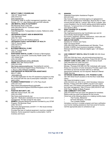| 38) | <b>IMPACT FAMILY COUNSELING</b>                                                                                                   |
|-----|-----------------------------------------------------------------------------------------------------------------------------------|
|     | 1000 24 <sup>th</sup> Street South                                                                                                |
|     | (205) 916-0123                                                                                                                    |
|     | www.impactal.org                                                                                                                  |
|     | Counseling; anger & conflict management resolution, play                                                                          |
|     | therapy. (4-11 yr. olds) Sliding scale and DHR referrals.                                                                         |
| 39) | <b>JBS MENTAL HEALTH AUTHORITY</b>                                                                                                |
|     | 940 Montclair Road, Suite 200                                                                                                     |
|     | (205) 595-4555 Ask for "Outreach Intake"                                                                                          |
|     | www.jbsmha.com                                                                                                                    |
|     | Case Management, Transportation to doctor, Referral to other                                                                      |
|     | resources.                                                                                                                        |
| 40) | <b>JEFFERSON COUNTY AIDS IN MINORITIES</b>                                                                                        |
|     | 1925 Bessemer Road                                                                                                                |
|     | (205) 781-1654                                                                                                                    |
|     | Support service for HIV Positive persons.                                                                                         |
| 41) | JEFFERSON COUNTY DEPARTMENT OF HEALTH                                                                                             |
|     | 1400 6 <sup>th</sup> Avenue South                                                                                                 |
|     | (205) 933-9110                                                                                                                    |
| 42) | www.jcdh.org<br><b>M-POWER MEDICAL CLINIC</b>                                                                                     |
|     | 4022 4 <sup>th</sup> Avenue South                                                                                                 |
|     | (205) 595-5959                                                                                                                    |
| 43) | <b>NORTHSIDE DENTAL CLINIC A Division of Birmingham</b>                                                                           |
|     | Health Care: a non-profit, Community Health Center 1333                                                                           |
|     | 191h Street North                                                                                                                 |
|     | (205) 322-8288                                                                                                                    |
|     | http://bhamhealthcare.com/s dental.php                                                                                            |
| 44) | OASIS 1900 14th Avenue South                                                                                                      |
|     | (205) 933-0338                                                                                                                    |
|     | http://www.oasiscounseling.org/ Counseling for women.                                                                             |
|     | Parents Anonymous Support Group Wednesdays 11:30 a.m.-                                                                            |
|     | 1:00 p.m. (free childcare available)                                                                                              |
| 45) | PARTNERSHIP IN PRESCRIPTION ASSISTANCE                                                                                            |
|     | 888-477-2669                                                                                                                      |
|     | www.pparx.org                                                                                                                     |
|     | A one-stop application for the 475 assistance programs to help<br>the uninsured with the cost of prescription medication. Call or |
|     | apply online.                                                                                                                     |
| 46) | PLANNED PARENTHOOD 1211 27th Place South                                                                                          |
|     | (205) 322-2121                                                                                                                    |
|     | https:/lwww.plannedparenthood.org/health-                                                                                         |
|     | center/alabama/birmingham/35205lbirmingham-center-3253-                                                                           |
|     | 90330                                                                                                                             |
| 47) | <b>POSITIVE MATURITY, INC.</b>                                                                                                    |
|     | 3600 8th Avenue South, Ste. 200                                                                                                   |
|     | (205) 251-0296                                                                                                                    |
|     | http://www.positivematurity.org/                                                                                                  |
|     | Ages 60 + Medication assistance for low-income senior's case                                                                      |
|     | management. No fees except for day camp.                                                                                          |
| 48) | <b>REMEDY</b> (Reused Medical Equipment Donated by you) STAR                                                                      |
|     | Program 750 Montclair Road                                                                                                        |
|     | (205) 783-9170                                                                                                                    |
|     | http://www.atprogramnews.com/2011 /11 /the-reuse-remedy                                                                           |
|     | -forbirmingham.html                                                                                                               |
|     | Provides free loan of medical equipment; must be a resident of                                                                    |
|     | Alabama. Some equipment requires a prescription. Call for<br>inventory and hours.                                                 |
|     |                                                                                                                                   |

#### 49) **SENIORX**

Statewide Prescription Assistance Program *800-243-5463* 

http://www.atrcregion.com/area-agency-on-aging/seniorx Non-narcotic maintenance medication. Must be 55yr or older. Income limit \$21,660 for 1 person, \$29,140 for 2 people. Also covers Disabled in the 24 month waiting period before getting Medicare. Turnaround time is 6-8 weeks. Medications go to your doctor's office.

#### 50) **SIGHT SAVERS OF ALABAMA**

(877) 942-2627

http://sightsaversamerica.org/ Coordinates eye care for economically disadvantaged children. Eye exams, treatment, glasses, medications, vision aids and surgeries. WWW.sightsaversofalabama.org

#### 51) **SMILES FOR KEEPS**

Dentistry for Children and Teens 5528 1st Avenue North (205) 592-2255 http://smilesforkeeps.neV Monday -Thurs. 8:00AM -5:00PM; most insurance accepted, including Medicaid and All Kids. Medicaid eligible ages 1-20 treated free. 53)

#### 52) **UAB COMMUNITY MENTAL HEALTH CLINIC** 908 20th Street South

(205) 934-7008 http://www. uab.edu/medicine/psychiatry/ourdivisions/communitypsychiatry Monday -Friday 8:00 AM -5:00 PM

#### 53) **URGENT CARE CLINIC (JBS)** 1230 3rd Avenue South (205) 545-8520 Fax (205) 224-4431 http://www.jbsmha.com/page07. html Monday -Thursday 8:00 AM-3:00 PM; Individuals with mental illness (no insurance or funds necessary) Provides urgent care and follow-up services Accepts walk-ins or referrals; appointment preferred, but not required. Medical & Mental Health Services

#### 54) **VETERANS ADMIN.MEDICAL CTR. PHOENIX CLINIC**  700 19th Street South (located on the first floor inside Blue Clinic)

http://www.birmingham.va.gov/ *(205) 933-8101 ext. 6012* or *ext. 6016* Homeless Veterans Monday -Fridays 8:00 AM-3:00PM Long term and urgent primary care, STD testing and treatment, laboratory testing and case management. Julie O'Connor (205) 933-8101 ext. 2232 Temp. Shelter & Meals Program

### 55) **UAB COMMUNITY EYE CARE**

(205) 975-2020 Free eye exam and glasses for homeless. Sliding scale eye exam and glasses for low income. Clinics are at the following places on a rotating monthly basis:

- The Foundry, Bessemer
- **M Power Ministries, Avondale**
- The Lovelady Shelter

Homeless must be in a shelter program and have verification. Low Income needing assistance must have proof of income. Call the appropriate place to schedule an apt.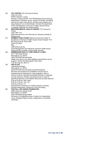| 55) | VET CENTER 1201 2nd Avenue South<br>(205) 212-3122                                                                       |
|-----|--------------------------------------------------------------------------------------------------------------------------|
|     | WWW.vetcenter. va.gov                                                                                                    |
|     | Monday -Friday 8:00 AM -4:30 PM Weekend and evening by<br>appointment. Individual, group, marital, and family counseling |
|     | services for active duty service members and veterans who                                                                |
|     | have deployed to a combat theater. Includes Re-adjustment,<br>PTSD, bereavement, survivors of military sexual trauma     |
|     | counseling. Referrals for medical needs.                                                                                 |
| 56) | <b>WESTERN MENTAL HEALTH CENTER 1701 Avenue D.,</b>                                                                      |
|     | Ensley<br>(205) 788-7770                                                                                                 |
|     | http://www.wmhcinc.coml Services for seriously mentally ill.                                                             |
|     | Sliding scale.                                                                                                           |
| 57) | <b>WOMEN'S HEALTHLINK National Community Center of</b><br>Excellence in Women's Health Cooper Green Hospital 1515        |
|     | 6th Avenue South, Room 558                                                                                               |
|     | (205) 918-2364                                                                                                           |
|     | http:<br>Jeffconline.jccal.org                                                                                           |
|     | Case Management and referral for women's health issues                                                                   |
| 58) | linking women to health, mental health services.<br><b>BIRMINGHAM HEALTH CARE (ENSLEY CLINIC)</b>                        |
|     | 4017 19th Street Ensley                                                                                                  |
|     | Birmingham, AL 35218                                                                                                     |
|     | (205) 783-9300 Service/Intake<br>Health care open to all, other eligibility requirements vary by                         |
|     | program. Serves the Birmingham metro area.                                                                               |
| 59) | 7:30 am-4:30 pm, Mon-Fri<br><b>SAV-A-LIFE</b>                                                                            |
|     | 1480 McGuire Road                                                                                                        |
|     | Birmingham, AL 35216                                                                                                     |
|     | (205) 979-0302 Service/Intake and Administration<br>Services and programs are available to anyone who is                 |
|     | experiencing an unplanned or crisis pregnancy. Men or                                                                    |
|     | women at risk for sexually transmitted infections or diseases<br>are also welcome. Parents and parents-to-be in need of  |
|     | parenting instruction and material resources are also welcome.                                                           |
|     | 9:00 am-4:00 pm, Mon, Wed                                                                                                |
|     | 9:00 am-7:00 pm, Tue, Thu<br>9:00 am-2:00 pm, Fri                                                                        |
|     | Appointments necessary for medical services including                                                                    |
|     | prenatal assessment, ultrasound, and STD testing.<br>THE FULL LIFE AHEAD FOUNDATION                                      |
| 60) | 2908 Clairmont Avenue South                                                                                              |
|     | Birmingham, AL 35205                                                                                                     |
|     | (205) 439-6534 Service/Intake<br>Advocacy for Disabilities Issues, Centers for Independent                               |
|     | Living, Disability Rights Groups, Independent Living Skills                                                              |
|     | Instruction                                                                                                              |
|     |                                                                                                                          |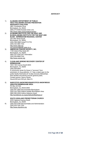#### **ADVOCACY**

#### 1) **ALABAMA DEPARTMENT OF PUBLIC HEALTHALABAMA SUICIDE PREVENTION RESOURCE COALITION**  3961 Christopher Drive Birmingham, AL 35243 (800) 273-8255 Suicide Crisis Line http://www.adph.org/suicideprevention

- 2) **ALABAMA INSTITUTE FOR THE DEAF AND BLINDALABAMA INSTITUTE FOR THE DEAF AND BLIND - BIRMINGHAM REGIONAL CENTER**  220 34th Street South Birmingham, AL 35222 (205) 328-3989 Voice/TTY/TTD (205) 323-3691 FAX http://www.aidb.org turk.larscene@aidb.state.al.us
- 3) **AMERICAN CANCER SOCIETY, INC.**  1100 Ireland Way Suite 201 Birmingham, AL 35205 (800) 227-2345 24/7 Information (205) 930-8895 FAX http://www.cancer.org
- 4) **CLEAN AND SERENE RECOVERY CENTER OF BIRMINGHAM**

1633 13th Avenue South #203 Birmingham, AL 35205 (205) 939-4644 A community center for those in "recovery" from alcoholism or drug addiction. A 7-day a week open to the public facility that hosts all 12-step recovery fellowships, their families and friends and the general public. Contact person: Danny Daniel Hours:8:00 am-5:00 pm, Mon-Fri

#### 5) **NARCOTICS ANONYMOUSNARCOTICS ANONYMOUS GREATER BIRMINGHAM AREA**

PO Box 321324 Birmingham, AL 35232-0463 (205) 941-2655 Service/Intake Birmingham (205) 243-7854 Hotline Greater Birmingham Area (866) 985-0008 Hotline Alabama Areas http://portaltools.na.org/portaltools/MeetingLoc/

#### **SOUTH HIGHLAND PRESBYTERIAN CHURCH**

6) 2035 Highland Avenue South Birmingham, AL 35205 (205) 933-0790 Service/Intake and Administration (205) 933-7361 FAX http://www.shpcbhm.org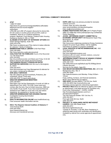#### **ADDITIONAL COMMUNITY RESOURCES**

| 1)  | AT&T                                                                                                                |
|-----|---------------------------------------------------------------------------------------------------------------------|
|     | 1-888-757-6500                                                                                                      |
|     | https://www.fcc.goviconsumersiguideslifeline-affordable-                                                            |
|     | telephone-service-income-eligible-                                                                                  |
|     | subscribers                                                                                                         |
|     | LIFELINE and LINK UP program discounts for phone bills.                                                             |
|     | \$13.50 credit on monthly phone bill and 50% credit on                                                              |
|     | installation. Must be on a federal assistance                                                                       |
|     | program: Medicaid, Food Stamps, Federal Public Housing                                                              |
|     | Assistance Section 8, SSI, or TANF.                                                                                 |
| 2)  | <b>ALABAMA STATE DEPT OF VETERANS' AFFAIRS 809</b>                                                                  |
|     | Green Springs Highway, Suite 100                                                                                    |
|     | (205) 916-2700<br>http://www.va.alabama.govl Files claims & makes referrals                                         |
|     | for veterans 1 family of veterans.                                                                                  |
| 3)  | <b>BIRMINGHAM PUBLIC LIBRARY 2100 Park Place</b>                                                                    |
|     | (205) 226-3600                                                                                                      |
|     | http://www.bplonline.orgllocationslcentrall                                                                         |
| 4)  | <b>COALITION FOR THE HOMELESS</b> Church of the Reconciler                                                          |
|     | 112 14th Street North                                                                                               |
|     | (205) 324-6402                                                                                                      |
|     | http://churchofthereconciler.coml Meets each Friday 10:30 AM<br>Seeks to discover and change structural injustices. |
| 5)  | THE DANNON PROJECT (PRISON RE-ENTRY                                                                                 |
|     | SUPPORTIVE SERVICES) 2324 5th Ave N, Birmingham,                                                                    |
|     | AL 35203                                                                                                            |
|     | (205) 202-4072                                                                                                      |
|     | www.dannonproject.org Case Management & referrals for                                                               |
|     | non-violent, nonsexual ex-offenders.                                                                                |
| 6)  | <b>DHR ADULT SERVICES</b>                                                                                           |
|     | http://dhr.alabama.govlservicesIAdult_Protective_Ser<br>vicesIAdult Abuse Facts.aspx                                |
|     | (205) 945-3787 To report adult abuse                                                                                |
| 7)  | <b>GREATER BIRMINGHAM MINISTRIES</b>                                                                                |
|     | (205) 326-6821                                                                                                      |
|     | https:llgbm.orgl Call first Wednesday of month at 9 AM on                                                           |
|     | Appointment Line: (205) 716-2168. Leave name and                                                                    |
|     | number after the tone. Due to limited resources, GBM can                                                            |
|     | only handle 16 per month. If you have received financial                                                            |
|     | assistance from GBM you must wait a full year before                                                                |
| 8)  | reapplying. No assistance in January and July.<br><b>GREATER BIRMINGHAM FAIR HOUSING CENTER</b>                     |
|     | Investigates housing discrimination                                                                                 |
|     | (205) 324-0111                                                                                                      |
| 9)  | <b>HEALTH INFORMATION ONLINE www.healthinfonet.org</b>                                                              |
|     | Free consumer health information service.                                                                           |
| 10) | <b>HICA: The Hispanic Interest Coalition of Alabama 57</b>                                                          |
|     | 121st Avenue North                                                                                                  |
|     | (205) 942-5505                                                                                                      |

www.Hispaniclnterest.org Advocacy and transitional services.

- 11) **HOPE LINE** Hope Line phones provided for domestic violence survivors. Contact: Kate Jay (678) 339-4828 www.verizonwireless.com/aboutus/hopeline Kate.Jay@verizonwireless,com
- 12) **HUMAN TRAFFICKING HOTLINE** (2417) Polaris Project (888) 373-3888 http://www.polarisproject.org Confidential Online Reporting
- 13) **JCCEO: JEFFERSON COUNTY COMMITTEE for ECONOMIC OPPORTUNITY** 589 Bessemer Super Hwy, Birmingham, AL 35228 (205) 497-6591 http://www.jcceo.orglenergy-assistance Energy Assistance program for power & gas utilities. Call for eligibility information & updates on program availability.
- 14) **LEGAL SERVICES OF METRO BIRMINGHAM, INC.** 1820 7th Avenue North (205) 328-3540 http://www.legalaidbirmingham.coml

Assistance with civil cases -domestic relations, consumer housing and income issues. 15) **JEFFERSON COUNTY OFFICE OF SENIOR CITIZENS'** 

- **SERVICES** 2601 Highland Avenue South (205) 325-1416 http://jeffconline.jccal.orgIDefault.asp?ID;355&pg;Senior Citizens Services Services for the elderly. Ages 60+.
- 16) **OAK MOUNTAIN MISSIONS MINISTRIES, INC.** 2010 Old Montgomery Hwy. Ste. A

(205) 987-6268 http://oakmtnmissions.coml Monday -Friday 9:00am - 12noon

Food, clothing, furniture, and financial assistance. MUST have referral from an agency.

- 17) **ONE ROOF** (formally MBSH) 1704 5th Ave. North (205) 254-8833 http://oneroofonline.orgl Homeless service agencies networking organization.
- 18) **PROJECT HELP** Must be referred by agency and make an appointment. Free legal services for homeless only. Every other Wednesdays 1 :OOPM -3:00PM http://homelesslegalprotection.com/h-e-Iplocations/birmingham/ The Old Firehouse Shelter 1501 3rd Ave. N. (205) 252-9571 First Light 2230 4th Ave. North (205) 323-4277
- 19) **PROJECT 10: HIGHLANDS UNITED METHODIST CHURCH** 1045 20th Street South (205) 933-8751 http:llwww.highlandsume.net Tuesday & Thursday 11:00 AM -Noon Assistance in obtaining state-issued birth certificates and identification. Available by referral from social agencies & appointment only.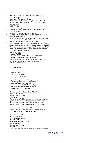20) RE-ENTRY MINISTRY 1804 6th Avenue North (205) 428-8449 http://www. Thefoundryonline.org Prison ministry, Monday -Friday 8:00 AM -5:00 PM 21) SOCIAL SECURITY ADMINISTRATION 2001 12th Avenue North (800) 772-1213 https:llwww.ssa.gov/ 22) TEEN CHALLENGE-Women's Center (Hayden, AL) (205) 647-6563 https:llwww.alabamateenchallenge.org/ 23) UNITED WAY INFORMATION AND REFERRAL CENTER 3600 8th Avenue South (205) 323-0000 Dial 211 for information line. Resource listing at: www.uwca.org go to "Get Help." 24) WORKSHOPS, INC. 4244 3" Ave. South (205) 592-9683 ext. 291 http://www.workshopsinc.org/ Ms. Dana Ullrich Senior Community Service Program (SCSEP) Work-based job training program for American age 55 or older. Call and ask for Ms. Ullrich for more information. 25) ZAMORA SHRINE TEMPLE 3521 Ratliff Road Irondale, AL 35210 (205) 956-3636 Service/Intake and Administration Aims to help disabled or burned children. Age up to 18 years old, have a crippling disease, spinal cord injury, burn or need burn reconstruction. 9:00 am-4:00 pm, Mon-Fri

#### **CHILD CARE**

1) Aletheia House

Phone: 205-324-6502 Birmingham, Al 35201 www.specialkindofcaring.org Residential Substance abuse treatment program for men and women. Men's Services: 201 Finley Ave W, 205- 324-6502. Women's Services: 700 37th Street South, 205-279-3999

- 2) Birmingham City Schools –Even Start Program 2015 7<sup>th</sup> AVE North Birmingham, AL 35202 205-231-4220 Public schools for Birmingham resident school children, grades K-12. Provides clothing and assistance with medical needs for underprivileged students, and transportation for qualified special education students.
- 3) Child Care Subsidy through DHR Phone Number: (334) 242-1425 or 1-866-528-1694 childcare.subsidy@dhr.alabama.gov
- 4) Daniel Cason Ministries 538 7<sup>th</sup> Street North Birmingham, AL 35203 205-320-2111 Head Start Programs JCCEO 300 8th Ave West Birmingham, Al 35204 205-327-7500 Social services to meet the needs of low income individuals at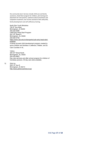the community level. Services include child care and family assistance, Head Start program for children, job training and placement for new parents, substance abuse prevention and outpatient treatment, low income assistance with utility bills,

family development and self-sufficiency training.

 North Star Youth Ministries 700 8th Ave West Birmingham, Al 35204 205-322-9296 UAB Early Head Start Program 933 19th Street S Birmingham, AL 35294 205-934-5736 https://www.uab.edu/civitansparks/uab-early-head-startprogram A family focused child development program created to serve children and families in Jefferson, Walker, and St. Clair Counties in AL.

 YWCA 309 23rd Street North Birmingham, AL 35202 205-322-9922 Day care services and after school program for children of homeless persons. 30 day care slots available.

5) Girls Inc.

5201 8th Ave S Birmingham, Al 35213 http://www.girlsinccentral-al.org/